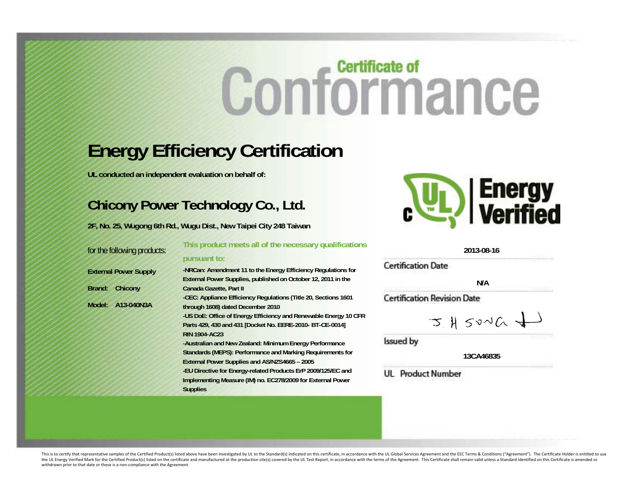# **Conformance**

# **Energy Efficiency Certification**

**UL conducted an independent evaluation on behalf of:** 

# **Chicony Power Technology Co., Ltd.**

**2F, No. 25, Wugong 6th Rd., Wugu Dist., New Taipei City 248 Taiwan** 

| for the following products:  | This product meets all of the necessary qualifications           |
|------------------------------|------------------------------------------------------------------|
|                              | pursuant to:                                                     |
| <b>External Power Supply</b> | -NRCan: Amendment 11 to the Energy Efficiency Regulations for    |
|                              | External Power Supplies, published on October 12, 2011 in the    |
| Brand:<br>Chicony            | Canada Gazette, Part II                                          |
|                              | -CEC: Appliance Efficiency Regulations (Title 20, Sections 1601) |
| Model: A13-040N3A            | through 1608) dated December 2010                                |
|                              | -US DoE: Office of Energy Efficiency and Renewable Energy 10 CFR |
|                              | Parts 429, 430 and 431 [Docket No. EERE-2010- BT-CE-0014]        |
|                              | <b>RIN 1904-AC23</b>                                             |
|                              | -Australian and New Zealand: Minimum Energy Performance          |
|                              | Standards (MEPS): Performance and Marking Requirements for       |
|                              | External Power Supplies and AS/NZS4665 - 2005                    |
|                              | -EU Directive for Energy-related Products ErP 2009/125/EC and    |
|                              | $        -$                                                      |



**2013-08-16** 

**Certification Date** 

**N/A** 

**Certification Revision Date** 

$$
3.415040 \pm 0
$$

Issued by

**13CA46835** 

**UL** Product Number

**Implementing Measure (IM) no. EC278/2009 for External Power Supplies** 

This is to certify that representative samples of the Certified Product(s) listed above have been investigated by UL to the Standard(s) indicated on this certificate, in accordance with the UL Global Services Agreement and the UL Energy Verified Mark for the Certified Product(s) listed on the certificate and manufactured at the production site(s) covered by the UL Test Report, in accordance with the terms of the Agreement. This Certificate s withdrawn prior to that date or these is <sup>a</sup> non‐compliance with the Agreement.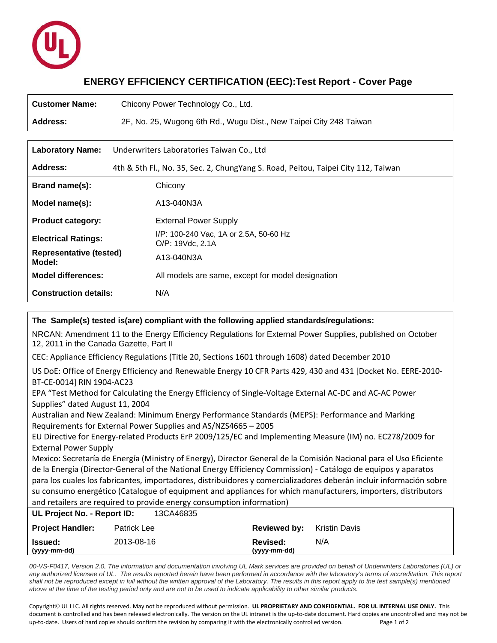

# **ENERGY EFFICIENCY CERTIFICATION (EEC):Test Report - Cover Page**

| <b>Customer Name:</b>                    | Chicony Power Technology Co., Ltd.                                                |  |  |
|------------------------------------------|-----------------------------------------------------------------------------------|--|--|
| Address:                                 | 2F, No. 25, Wugong 6th Rd., Wugu Dist., New Taipei City 248 Taiwan                |  |  |
|                                          |                                                                                   |  |  |
| <b>Laboratory Name:</b>                  | Underwriters Laboratories Taiwan Co., Ltd                                         |  |  |
| Address:                                 | 4th & 5th Fl., No. 35, Sec. 2, ChungYang S. Road, Peitou, Taipei City 112, Taiwan |  |  |
| Brand name(s):                           | Chicony                                                                           |  |  |
| Model name(s):                           | A13-040N3A                                                                        |  |  |
| <b>Product category:</b>                 | <b>External Power Supply</b>                                                      |  |  |
| <b>Electrical Ratings:</b>               | I/P: 100-240 Vac, 1A or 2.5A, 50-60 Hz<br>O/P: 19Vdc, 2.1A                        |  |  |
| <b>Representative (tested)</b><br>Model: | A13-040N3A                                                                        |  |  |
| <b>Model differences:</b>                | All models are same, except for model designation                                 |  |  |
| <b>Construction details:</b>             | N/A                                                                               |  |  |

# **The Sample(s) tested is(are) compliant with the following applied standards/regulations:** NRCAN: Amendment 11 to the Energy Efficiency Regulations for External Power Supplies, published on October 12, 2011 in the Canada Gazette, Part II CEC: Appliance Efficiency Regulations (Title 20, Sections 1601 through 1608) dated December 2010 US DoE: Office of Energy Efficiency and Renewable Energy 10 CFR Parts 429, 430 and 431 [Docket No. EERE‐2010‐ BT‐CE‐0014] RIN 1904‐AC23 EPA "Test Method for Calculating the Energy Efficiency of Single‐Voltage External AC‐DC and AC‐AC Power Supplies" dated August 11, 2004 Australian and New Zealand: Minimum Energy Performance Standards (MEPS): Performance and Marking Requirements for External Power Supplies and AS/NZS4665 – 2005 EU Directive for Energy-related Products ErP 2009/125/EC and Implementing Measure (IM) no. EC278/2009 for External Power Supply Mexico: Secretaría de Energía (Ministry of Energy), Director General de la Comisión Nacional para el Uso Eficiente de la Energía (Director‐General of the National Energy Efficiency Commission) ‐ Catálogo de equipos y aparatos para los cuales los fabricantes, importadores, distribuidores y comercializadores deberán incluir información sobre su consumo energético (Catalogue of equipment and appliances for which manufacturers, importers, distributors and retailers are required to provide energy consumption information) **UL Project No. - Report ID:** 13CA46835 **Project Handler:** Patrick Lee **Reviewed by:** Kristin Davis **Issued:** 2013-08-16 **Revised:** N/A **(yyyy-mm-dd) (yyyy-mm-dd)**

*00-VS-F0417, Version 2.0, The information and documentation involving UL Mark services are provided on behalf of Underwriters Laboratories (UL) or any authorized licensee of UL. The results reported herein have been performed in accordance with the laboratory's terms of accreditation. This report*  shall not be reproduced except in full without the written approval of the Laboratory. The results in this report apply to the test sample(s) mentioned *above at the time of the testing period only and are not to be used to indicate applicability to other similar products.* 

Copyright UL LLC. All rights reserved. May not be reproduced without permission. **UL PROPRIETARY AND CONFIDENTIAL. FOR UL INTERNAL USE ONLY.** This document is controlled and has been released electronically. The version on the UL intranet is the up‐to‐date document. Hard copies are uncontrolled and may not be up-to-date. Users of hard copies should confirm the revision by comparing it with the electronically controlled version. Page 1 of 2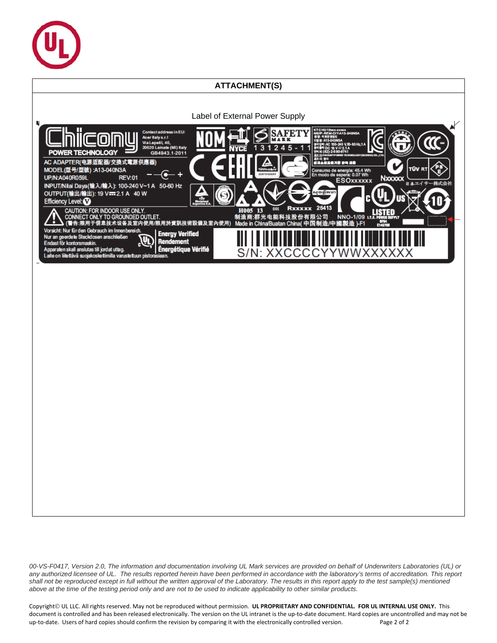

# **ATTACHMENT(S)**



*00-VS-F0417, Version 2.0, The information and documentation involving UL Mark services are provided on behalf of Underwriters Laboratories (UL) or any authorized licensee of UL. The results reported herein have been performed in accordance with the laboratory's terms of accreditation. This report shall not be reproduced except in full without the written approval of the Laboratory. The results in this report apply to the test sample(s) mentioned above at the time of the testing period only and are not to be used to indicate applicability to other similar products.* 

Copyright UL LLC. All rights reserved. May not be reproduced without permission. **UL PROPRIETARY AND CONFIDENTIAL. FOR UL INTERNAL USE ONLY.** This document is controlled and has been released electronically. The version on the UL intranet is the up-to-date document. Hard copies are uncontrolled and may not be up-to-date. Users of hard copies should confirm the revision by comparing it with the electronically controlled version. Page 2 of 2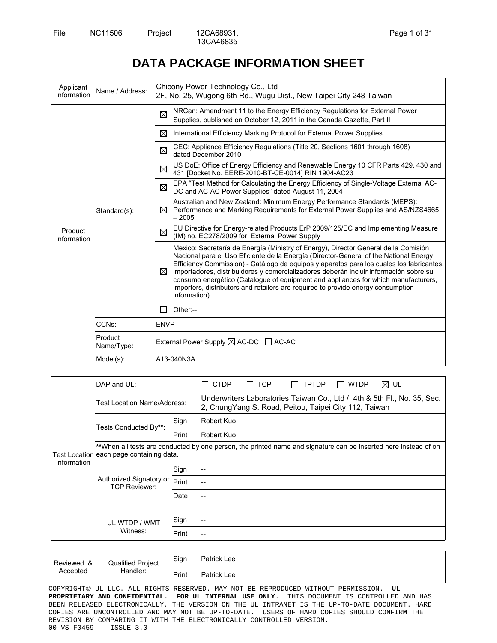# **DATA PACKAGE INFORMATION SHEET**

| Applicant<br>Information | Name / Address:                                                                                                                                                                     | Chicony Power Technology Co., Ltd<br>2F, No. 25, Wugong 6th Rd., Wugu Dist., New Taipei City 248 Taiwan                                                                                                                                                                                                                                                                                                                                                                                                                                                          |  |  |  |
|--------------------------|-------------------------------------------------------------------------------------------------------------------------------------------------------------------------------------|------------------------------------------------------------------------------------------------------------------------------------------------------------------------------------------------------------------------------------------------------------------------------------------------------------------------------------------------------------------------------------------------------------------------------------------------------------------------------------------------------------------------------------------------------------------|--|--|--|
|                          |                                                                                                                                                                                     | NRCan: Amendment 11 to the Energy Efficiency Regulations for External Power<br>⊠<br>Supplies, published on October 12, 2011 in the Canada Gazette, Part II                                                                                                                                                                                                                                                                                                                                                                                                       |  |  |  |
|                          |                                                                                                                                                                                     | International Efficiency Marking Protocol for External Power Supplies<br>⊠                                                                                                                                                                                                                                                                                                                                                                                                                                                                                       |  |  |  |
|                          |                                                                                                                                                                                     | CEC: Appliance Efficiency Regulations (Title 20, Sections 1601 through 1608)<br>⊠<br>dated December 2010                                                                                                                                                                                                                                                                                                                                                                                                                                                         |  |  |  |
|                          |                                                                                                                                                                                     | US DoE: Office of Energy Efficiency and Renewable Energy 10 CFR Parts 429, 430 and<br>⊠<br>431 [Docket No. EERE-2010-BT-CE-0014] RIN 1904-AC23                                                                                                                                                                                                                                                                                                                                                                                                                   |  |  |  |
|                          |                                                                                                                                                                                     | EPA "Test Method for Calculating the Energy Efficiency of Single-Voltage External AC-<br>⊠<br>DC and AC-AC Power Supplies" dated August 11, 2004                                                                                                                                                                                                                                                                                                                                                                                                                 |  |  |  |
| Standard(s):             | Australian and New Zealand: Minimum Energy Performance Standards (MEPS):<br>Performance and Marking Requirements for External Power Supplies and AS/NZS4665<br>$\bowtie$<br>$-2005$ |                                                                                                                                                                                                                                                                                                                                                                                                                                                                                                                                                                  |  |  |  |
| Product<br>Information   |                                                                                                                                                                                     | EU Directive for Energy-related Products ErP 2009/125/EC and Implementing Measure<br>⊠<br>(IM) no. EC278/2009 for External Power Supply                                                                                                                                                                                                                                                                                                                                                                                                                          |  |  |  |
|                          |                                                                                                                                                                                     | Mexico: Secretaría de Energía (Ministry of Energy), Director General de la Comisión<br>Nacional para el Uso Eficiente de la Energía (Director-General of the National Energy<br>Efficiency Commission) - Catálogo de equipos y aparatos para los cuales los fabricantes,<br>⊠<br>importadores, distribuidores y comercializadores deberán incluir información sobre su<br>consumo energético (Catalogue of equipment and appliances for which manufacturers,<br>importers, distributors and retailers are required to provide energy consumption<br>information) |  |  |  |
|                          |                                                                                                                                                                                     | Other:--                                                                                                                                                                                                                                                                                                                                                                                                                                                                                                                                                         |  |  |  |
|                          | CCN <sub>s</sub> :                                                                                                                                                                  | <b>ENVP</b>                                                                                                                                                                                                                                                                                                                                                                                                                                                                                                                                                      |  |  |  |
|                          | Product<br>Name/Type:                                                                                                                                                               | External Power Supply $\boxtimes$ AC-DC $\Box$ AC-AC                                                                                                                                                                                                                                                                                                                                                                                                                                                                                                             |  |  |  |
|                          | Model(s):                                                                                                                                                                           | A13-040N3A                                                                                                                                                                                                                                                                                                                                                                                                                                                                                                                                                       |  |  |  |

| DAP and UL:                                     |                       | CTDP                                                                                                | <b>TCP</b>               | TPTDP | WTDP | ⊠∪L                                                                                                                                                                                                                                                 |
|-------------------------------------------------|-----------------------|-----------------------------------------------------------------------------------------------------|--------------------------|-------|------|-----------------------------------------------------------------------------------------------------------------------------------------------------------------------------------------------------------------------------------------------------|
| <b>Test Location Name/Address:</b>              |                       |                                                                                                     |                          |       |      |                                                                                                                                                                                                                                                     |
|                                                 |                       |                                                                                                     |                          |       |      |                                                                                                                                                                                                                                                     |
|                                                 |                       |                                                                                                     |                          |       |      |                                                                                                                                                                                                                                                     |
|                                                 |                       |                                                                                                     |                          |       |      |                                                                                                                                                                                                                                                     |
| Authorized Signatory or<br><b>TCP Reviewer:</b> |                       |                                                                                                     |                          |       |      |                                                                                                                                                                                                                                                     |
|                                                 |                       |                                                                                                     |                          |       |      |                                                                                                                                                                                                                                                     |
|                                                 |                       |                                                                                                     |                          |       |      |                                                                                                                                                                                                                                                     |
|                                                 |                       |                                                                                                     |                          |       |      |                                                                                                                                                                                                                                                     |
| UL WTDP / WMT                                   |                       |                                                                                                     |                          |       |      |                                                                                                                                                                                                                                                     |
| Witness:                                        |                       |                                                                                                     |                          |       |      |                                                                                                                                                                                                                                                     |
|                                                 |                       |                                                                                                     |                          |       |      |                                                                                                                                                                                                                                                     |
|                                                 | Tests Conducted By**: | Sign<br>Print<br>Test Location each page containing data.<br>Sign<br>Print<br>Date<br>Sign<br>Print | Robert Kuo<br>Robert Kuo |       |      | Underwriters Laboratories Taiwan Co., Ltd / 4th & 5th Fl., No. 35, Sec.<br>2, ChungYang S. Road, Peitou, Taipei City 112, Taiwan<br>**When all tests are conducted by one person, the printed name and signature can be inserted here instead of on |

| Reviewed | Qualified Project<br>&। | Sign  | Patrick Lee        |
|----------|-------------------------|-------|--------------------|
| Accepted | Handler:                | Print | <b>Patrick Lee</b> |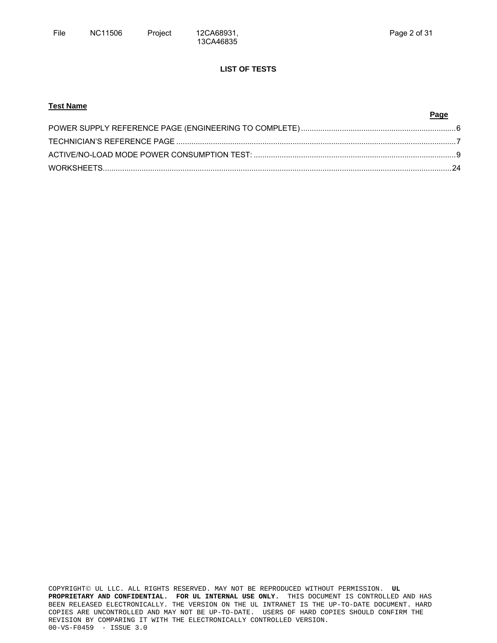# **LIST OF TESTS**

| <b>Test Name</b> |      |
|------------------|------|
|                  | Page |
|                  |      |
|                  |      |
|                  |      |
|                  |      |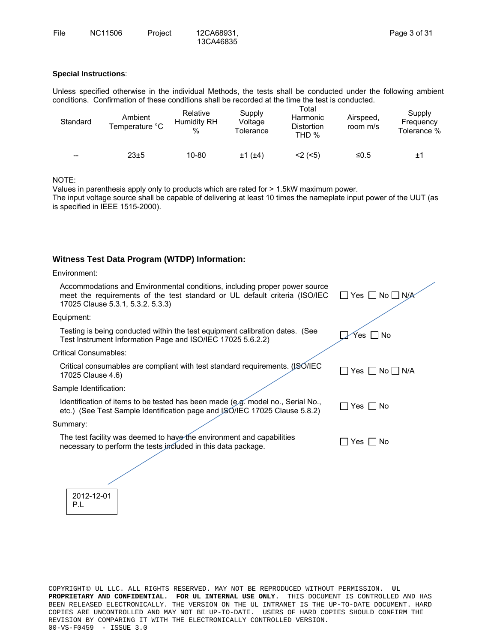# **Special Instructions**:

Unless specified otherwise in the individual Methods, the tests shall be conducted under the following ambient conditions. Confirmation of these conditions shall be recorded at the time the test is conducted.

| Standard | Ambient<br>Temperature °C | Relative<br>Humidity RH<br>% | Supply<br>Voltage<br>Tolerance | Total<br>Harmonic<br><b>Distortion</b><br>THD % | Airspeed,<br>room m/s | Supply<br>Frequency<br>Tolerance % |
|----------|---------------------------|------------------------------|--------------------------------|-------------------------------------------------|-----------------------|------------------------------------|
| $- -$    | 23±5                      | 10-80                        | $±1$ ( $±4$ )                  | $<$ 2 ( $<$ 5)                                  | ≤0.5                  | ±1                                 |

NOTE:

Values in parenthesis apply only to products which are rated for > 1.5kW maximum power. The input voltage source shall be capable of delivering at least 10 times the nameplate input power of the UUT (as is specified in IEEE 1515-2000).

# **Witness Test Data Program (WTDP) Information:**

#### Environment:

2012-12-01 P.L

| Accommodations and Environmental conditions, including proper power source<br>meet the requirements of the test standard or UL default criteria (ISO/IEC<br>17025 Clause 5.3.1, 5.3.2. 5.3.3) | _  Yes   _  No  __  N/ <i>∫</i> |
|-----------------------------------------------------------------------------------------------------------------------------------------------------------------------------------------------|---------------------------------|
| Equipment:                                                                                                                                                                                    |                                 |
| Testing is being conducted within the test equipment calibration dates. (See<br>Test Instrument Information Page and ISO/IEC 17025 5.6.2.2)                                                   | Yes ∐ No                        |
| <b>Critical Consumables:</b>                                                                                                                                                                  |                                 |
| Critical consumables are compliant with test standard requirements. (JSO/IEC<br>17025 Clause 4.6)                                                                                             | Yes     No     N/A              |
| Sample Identification:                                                                                                                                                                        |                                 |
| Identification of items to be tested has been made (e.g. model no., Serial No.,<br>etc.) (See Test Sample Identification page and JSO/IEC 17025 Clause 5.8.2)                                 | $Yes \mid \text{No}$            |
| Summary:                                                                                                                                                                                      |                                 |
| The test facility was deemed to have the environment and capabilities<br>necessary to perform the tests included in this data package.                                                        | Yes $\Box$<br>No.               |
|                                                                                                                                                                                               |                                 |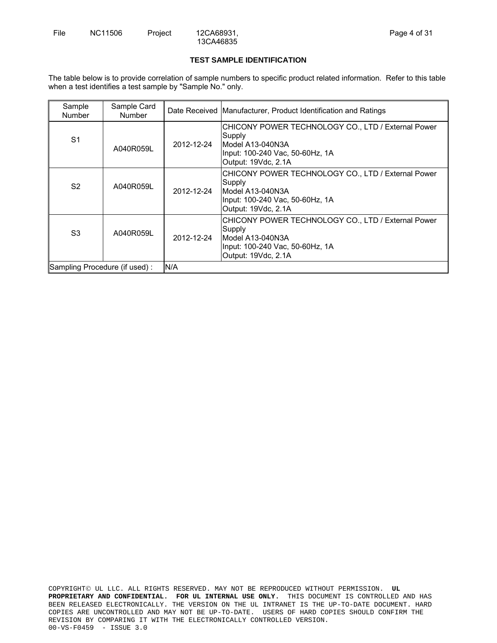## **TEST SAMPLE IDENTIFICATION**

The table below is to provide correlation of sample numbers to specific product related information. Refer to this table when a test identifies a test sample by "Sample No." only.

| Sample<br><b>Number</b>       | Sample Card<br><b>Number</b> |            | Date Received Manufacturer, Product Identification and Ratings                                                                             |
|-------------------------------|------------------------------|------------|--------------------------------------------------------------------------------------------------------------------------------------------|
| S <sub>1</sub>                | A040R059L                    | 2012-12-24 | CHICONY POWER TECHNOLOGY CO., LTD / External Power<br>Supply<br>Model A13-040N3A<br>Input: 100-240 Vac, 50-60Hz, 1A<br>Output: 19Vdc, 2.1A |
| S <sub>2</sub>                | A040R059L                    | 2012-12-24 | CHICONY POWER TECHNOLOGY CO., LTD / External Power<br>Supply<br>Model A13-040N3A<br>Input: 100-240 Vac, 50-60Hz, 1A<br>Output: 19Vdc, 2.1A |
| S <sub>3</sub>                | A040R059L                    | 2012-12-24 | CHICONY POWER TECHNOLOGY CO., LTD / External Power<br>Supply<br>Model A13-040N3A<br>Input: 100-240 Vac, 50-60Hz, 1A<br>Output: 19Vdc, 2.1A |
| Sampling Procedure (if used): |                              | N/A        |                                                                                                                                            |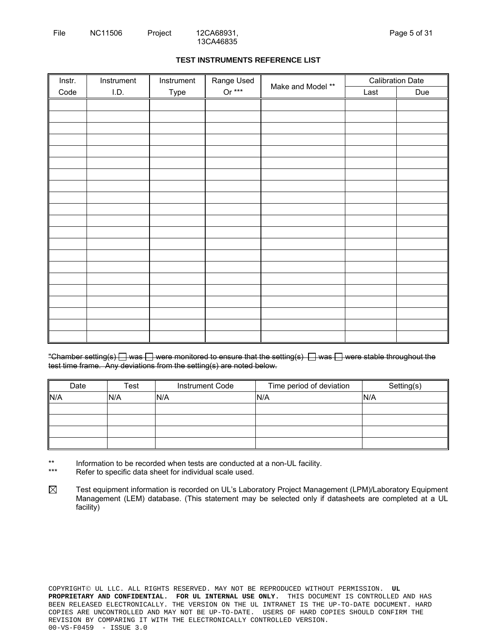# **TEST INSTRUMENTS REFERENCE LIST**

| Instr. | Instrument | Instrument | Range Used |                   |      | <b>Calibration Date</b> |
|--------|------------|------------|------------|-------------------|------|-------------------------|
| Code   | I.D.       | Type       | Or $***$   | Make and Model ** | Last | Due                     |
|        |            |            |            |                   |      |                         |
|        |            |            |            |                   |      |                         |
|        |            |            |            |                   |      |                         |
|        |            |            |            |                   |      |                         |
|        |            |            |            |                   |      |                         |
|        |            |            |            |                   |      |                         |
|        |            |            |            |                   |      |                         |
|        |            |            |            |                   |      |                         |
|        |            |            |            |                   |      |                         |
|        |            |            |            |                   |      |                         |
|        |            |            |            |                   |      |                         |
|        |            |            |            |                   |      |                         |
|        |            |            |            |                   |      |                         |
|        |            |            |            |                   |      |                         |
|        |            |            |            |                   |      |                         |
|        |            |            |            |                   |      |                         |
|        |            |            |            |                   |      |                         |
|        |            |            |            |                   |      |                         |
|        |            |            |            |                   |      |                         |
|        |            |            |            |                   |      |                         |
|        |            |            |            |                   |      |                         |

"Chamber setting(s)  $\Box$  was  $\Box$  were monitored to ensure that the setting(s)  $\Box$  was  $\Box$  were stable throughout the test time frame. Any deviations from the setting(s) are noted below.

| Date | Test | <b>Instrument Code</b> | Time period of deviation | Setting(s) |
|------|------|------------------------|--------------------------|------------|
| N/A  | N/A  | N/A                    | N/A                      | N/A        |
|      |      |                        |                          |            |
|      |      |                        |                          |            |
|      |      |                        |                          |            |
|      |      |                        |                          |            |

\*\* Information to be recorded when tests are conducted at a non-UL facility.

\*\*\* Refer to specific data sheet for individual scale used.

 $\boxtimes$ Test equipment information is recorded on UL's Laboratory Project Management (LPM)/Laboratory Equipment Management (LEM) database. (This statement may be selected only if datasheets are completed at a UL facility)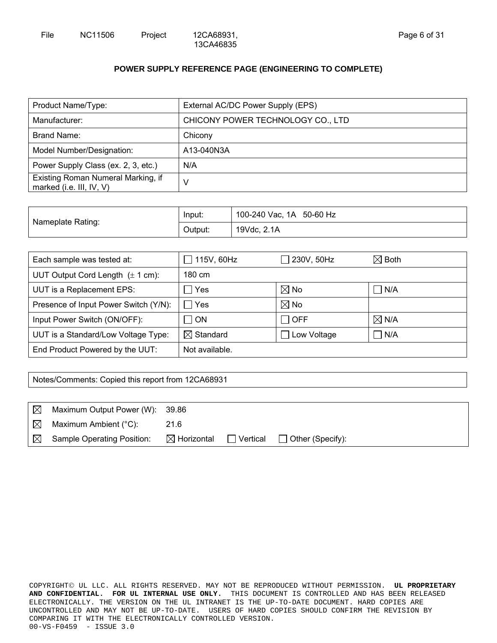# **POWER SUPPLY REFERENCE PAGE (ENGINEERING TO COMPLETE)**

| Product Name/Type:                                             | External AC/DC Power Supply (EPS) |
|----------------------------------------------------------------|-----------------------------------|
| Manufacturer:                                                  | CHICONY POWER TECHNOLOGY CO., LTD |
| Brand Name:                                                    | Chicony                           |
| Model Number/Designation:                                      | A13-040N3A                        |
| Power Supply Class (ex. 2, 3, etc.)                            | N/A                               |
| Existing Roman Numeral Marking, if<br>marked (i.e. III, IV, V) | v                                 |

|                   | Input:  | 100-240 Vac, 1A 50-60 Hz |
|-------------------|---------|--------------------------|
| Nameplate Rating: | Output: | 19Vdc, 2.1A              |

| Each sample was tested at:                    | 115V, 60Hz<br>$\blacksquare$ | $\Box$ 230V, 50Hz | $\boxtimes$ Both      |
|-----------------------------------------------|------------------------------|-------------------|-----------------------|
| UUT Output Cord Length $(\pm 1 \text{ cm})$ : | 180 cm                       |                   |                       |
| UUT is a Replacement EPS:                     | Yes                          | $\boxtimes$ No    | $\blacksquare$<br>N/A |
| Presence of Input Power Switch (Y/N):         | $\Box$ Yes                   | $\boxtimes$ No    |                       |
| Input Power Switch (ON/OFF):                  | $\sqcap$ on                  | $\sqcap$ OFF      | $\boxtimes$ N/A       |
| UUT is a Standard/Low Voltage Type:           | $\boxtimes$ Standard         | Low Voltage       | Π<br>N/A              |
| End Product Powered by the UUT:               | Not available.               |                   |                       |

Notes/Comments: Copied this report from 12CA68931

| $\boxtimes$ | Maximum Output Power (W): 39.86   |                        |                 |                         |
|-------------|-----------------------------------|------------------------|-----------------|-------------------------|
| $\boxtimes$ | Maximum Ambient (°C):             | 21.6                   |                 |                         |
| $\boxtimes$ | <b>Sample Operating Position:</b> | $\boxtimes$ Horizontal | $\Box$ Vertical | $\Box$ Other (Specify): |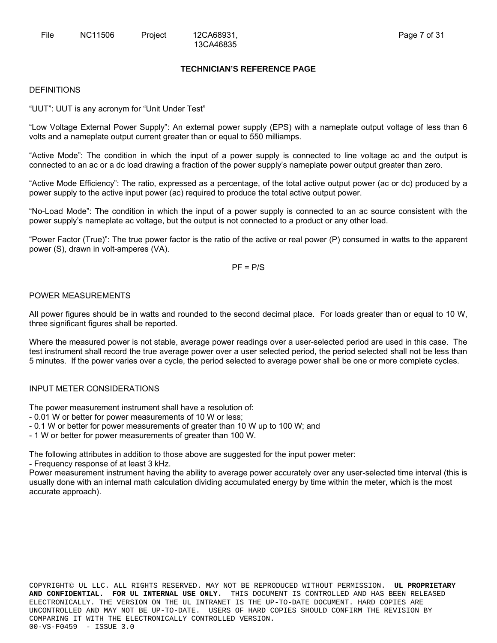# **TECHNICIAN'S REFERENCE PAGE**

#### DEFINITIONS

"UUT": UUT is any acronym for "Unit Under Test"

"Low Voltage External Power Supply": An external power supply (EPS) with a nameplate output voltage of less than 6 volts and a nameplate output current greater than or equal to 550 milliamps.

"Active Mode": The condition in which the input of a power supply is connected to line voltage ac and the output is connected to an ac or a dc load drawing a fraction of the power supply's nameplate power output greater than zero.

"Active Mode Efficiency": The ratio, expressed as a percentage, of the total active output power (ac or dc) produced by a power supply to the active input power (ac) required to produce the total active output power.

"No-Load Mode": The condition in which the input of a power supply is connected to an ac source consistent with the power supply's nameplate ac voltage, but the output is not connected to a product or any other load.

"Power Factor (True)": The true power factor is the ratio of the active or real power (P) consumed in watts to the apparent power (S), drawn in volt-amperes (VA).

 $PF = P/S$ 

# POWER MEASUREMENTS

All power figures should be in watts and rounded to the second decimal place. For loads greater than or equal to 10 W, three significant figures shall be reported.

Where the measured power is not stable, average power readings over a user-selected period are used in this case. The test instrument shall record the true average power over a user selected period, the period selected shall not be less than 5 minutes. If the power varies over a cycle, the period selected to average power shall be one or more complete cycles.

# INPUT METER CONSIDERATIONS

The power measurement instrument shall have a resolution of:

- 0.01 W or better for power measurements of 10 W or less;

- 0.1 W or better for power measurements of greater than 10 W up to 100 W; and

- 1 W or better for power measurements of greater than 100 W.

The following attributes in addition to those above are suggested for the input power meter:

- Frequency response of at least 3 kHz.

Power measurement instrument having the ability to average power accurately over any user-selected time interval (this is usually done with an internal math calculation dividing accumulated energy by time within the meter, which is the most accurate approach).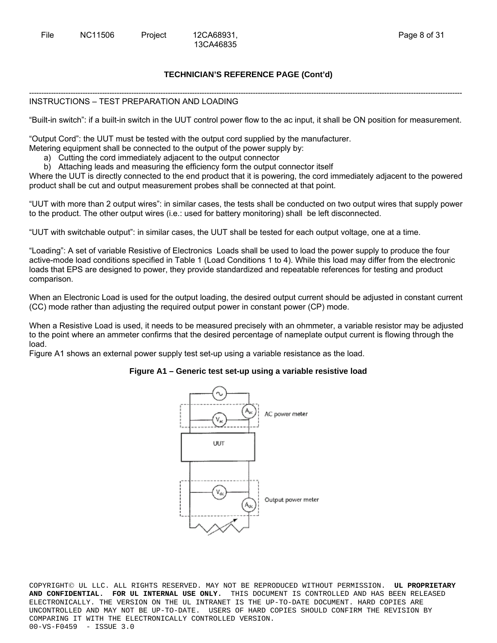# **TECHNICIAN'S REFERENCE PAGE (Cont'd)**

13CA46835

#### ---------------------------------------------------------------------------------------------------------------------------------------------------------------------------------- INSTRUCTIONS – TEST PREPARATION AND LOADING

"Built-in switch": if a built-in switch in the UUT control power flow to the ac input, it shall be ON position for measurement.

"Output Cord": the UUT must be tested with the output cord supplied by the manufacturer.

- Metering equipment shall be connected to the output of the power supply by:
	- a) Cutting the cord immediately adjacent to the output connector
	- b) Attaching leads and measuring the efficiency form the output connector itself

Where the UUT is directly connected to the end product that it is powering, the cord immediately adjacent to the powered product shall be cut and output measurement probes shall be connected at that point.

"UUT with more than 2 output wires": in similar cases, the tests shall be conducted on two output wires that supply power to the product. The other output wires (i.e.: used for battery monitoring) shall be left disconnected.

"UUT with switchable output": in similar cases, the UUT shall be tested for each output voltage, one at a time.

"Loading": A set of variable Resistive of Electronics Loads shall be used to load the power supply to produce the four active-mode load conditions specified in Table 1 (Load Conditions 1 to 4). While this load may differ from the electronic loads that EPS are designed to power, they provide standardized and repeatable references for testing and product comparison.

When an Electronic Load is used for the output loading, the desired output current should be adjusted in constant current (CC) mode rather than adjusting the required output power in constant power (CP) mode.

When a Resistive Load is used, it needs to be measured precisely with an ohmmeter, a variable resistor may be adjusted to the point where an ammeter confirms that the desired percentage of nameplate output current is flowing through the load.

Figure A1 shows an external power supply test set-up using a variable resistance as the load.

# **Figure A1 – Generic test set-up using a variable resistive load**

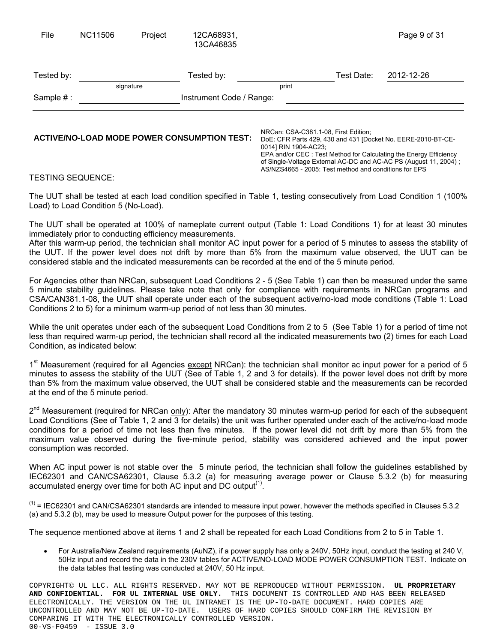| File       | <b>NC11506</b> | Project   | 12CA68931,<br>13CA46835  |       |            | Page 9 of 31 |  |
|------------|----------------|-----------|--------------------------|-------|------------|--------------|--|
| Tested by: |                |           | Tested by:               |       | Test Date: | 2012-12-26   |  |
|            |                | signature |                          | print |            |              |  |
| Sample #:  |                |           | Instrument Code / Range: |       |            |              |  |
|            |                |           |                          |       |            |              |  |

# **ACTIVE/NO-LOAD MODE POWER CONSUMPTION TEST:** DOE: CSA-C381.1-08, First Edition;

DoE: CFR Parts 429, 430 and 431 [Docket No. EERE-2010-BT-CE-0014] RIN 1904-AC23; EPA and/or CEC : Test Method for Calculating the Energy Efficiency of Single-Voltage External AC-DC and AC-AC PS (August 11, 2004) ; AS/NZS4665 - 2005: Test method and conditions for EPS

# TESTING SEQUENCE:

The UUT shall be tested at each load condition specified in Table 1, testing consecutively from Load Condition 1 (100% Load) to Load Condition 5 (No-Load).

The UUT shall be operated at 100% of nameplate current output (Table 1: Load Conditions 1) for at least 30 minutes immediately prior to conducting efficiency measurements.

After this warm-up period, the technician shall monitor AC input power for a period of 5 minutes to assess the stability of the UUT. If the power level does not drift by more than 5% from the maximum value observed, the UUT can be considered stable and the indicated measurements can be recorded at the end of the 5 minute period.

For Agencies other than NRCan, subsequent Load Conditions 2 - 5 (See Table 1) can then be measured under the same 5 minute stability guidelines. Please take note that only for compliance with requirements in NRCan programs and CSA/CAN381.1-08, the UUT shall operate under each of the subsequent active/no-load mode conditions (Table 1: Load Conditions 2 to 5) for a minimum warm-up period of not less than 30 minutes.

While the unit operates under each of the subsequent Load Conditions from 2 to 5 (See Table 1) for a period of time not less than required warm-up period, the technician shall record all the indicated measurements two (2) times for each Load Condition, as indicated below:

1<sup>st</sup> Measurement (required for all Agencies except NRCan): the technician shall monitor ac input power for a period of 5 minutes to assess the stability of the UUT (See of Table 1, 2 and 3 for details). If the power level does not drift by more than 5% from the maximum value observed, the UUT shall be considered stable and the measurements can be recorded at the end of the 5 minute period.

 $2^{nd}$  Measurement (required for NRCan only): After the mandatory 30 minutes warm-up period for each of the subsequent Load Conditions (See of Table 1, 2 and 3 for details) the unit was further operated under each of the active/no-load mode conditions for a period of time not less than five minutes. If the power level did not drift by more than 5% from the maximum value observed during the five-minute period, stability was considered achieved and the input power consumption was recorded.

When AC input power is not stable over the 5 minute period, the technician shall follow the guidelines established by IEC62301 and CAN/CSA62301, Clause 5.3.2 (a) for measuring average power or Clause 5.3.2 (b) for measuring accumulated energy over time for both AC input and DC output<sup> $(1)$ </sup>.

 $<sup>(1)</sup>$  = IEC62301 and CAN/CSA62301 standards are intended to measure input power, however the methods specified in Clauses 5.3.2</sup> (a) and 5.3.2 (b), may be used to measure Output power for the purposes of this testing.

The sequence mentioned above at items 1 and 2 shall be repeated for each Load Conditions from 2 to 5 in Table 1.

 For Australia/New Zealand requirements (AuNZ), if a power supply has only a 240V, 50Hz input, conduct the testing at 240 V, 50Hz input and record the data in the 230V tables for ACTIVE/NO-LOAD MODE POWER CONSUMPTION TEST. Indicate on the data tables that testing was conducted at 240V, 50 Hz input.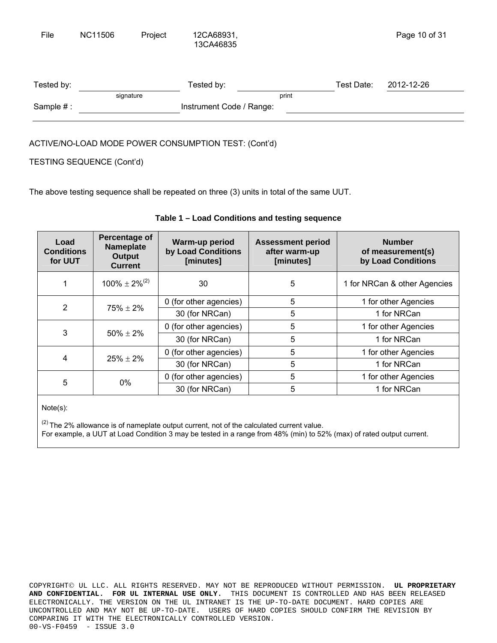| Tested by: |           | Tested by:               |       | Test Date: | 2012-12-26 |
|------------|-----------|--------------------------|-------|------------|------------|
|            | signature |                          | print |            |            |
| Sample #:  |           | Instrument Code / Range: |       |            |            |
|            |           |                          |       |            |            |

# ACTIVE/NO-LOAD MODE POWER CONSUMPTION TEST: (Cont'd)

# TESTING SEQUENCE (Cont'd)

The above testing sequence shall be repeated on three (3) units in total of the same UUT.

| Load<br><b>Conditions</b><br>for UUT | Percentage of<br><b>Nameplate</b><br>Output<br><b>Current</b> | Warm-up period<br>by Load Conditions<br>[minutes] | <b>Assessment period</b><br>after warm-up<br>[minutes] | <b>Number</b><br>of measurement(s)<br>by Load Conditions |
|--------------------------------------|---------------------------------------------------------------|---------------------------------------------------|--------------------------------------------------------|----------------------------------------------------------|
|                                      | $100\% \pm 2\%^{(2)}$                                         | 30                                                | 5                                                      | 1 for NRCan & other Agencies                             |
| $\overline{2}$                       | $75\% \pm 2\%$                                                | 0 (for other agencies)                            | 5                                                      | 1 for other Agencies                                     |
|                                      |                                                               | 30 (for NRCan)                                    | 5                                                      | 1 for NRCan                                              |
| 3                                    |                                                               | 0 (for other agencies)                            | 5                                                      | 1 for other Agencies                                     |
|                                      | $50\% \pm 2\%$                                                | 30 (for NRCan)                                    | 5                                                      | 1 for NRCan                                              |
| 4                                    |                                                               | 0 (for other agencies)                            | 5                                                      | 1 for other Agencies                                     |
|                                      | $25\% \pm 2\%$                                                | 30 (for NRCan)                                    | 5                                                      | 1 for NRCan                                              |
| 5                                    | 0%                                                            | 0 (for other agencies)                            | 5                                                      | 1 for other Agencies                                     |
|                                      |                                                               | 30 (for NRCan)                                    | 5                                                      | 1 for NRCan                                              |

# **Table 1 – Load Conditions and testing sequence**

Note(s):

 $(2)$  The 2% allowance is of nameplate output current, not of the calculated current value. For example, a UUT at Load Condition 3 may be tested in a range from 48% (min) to 52% (max) of rated output current.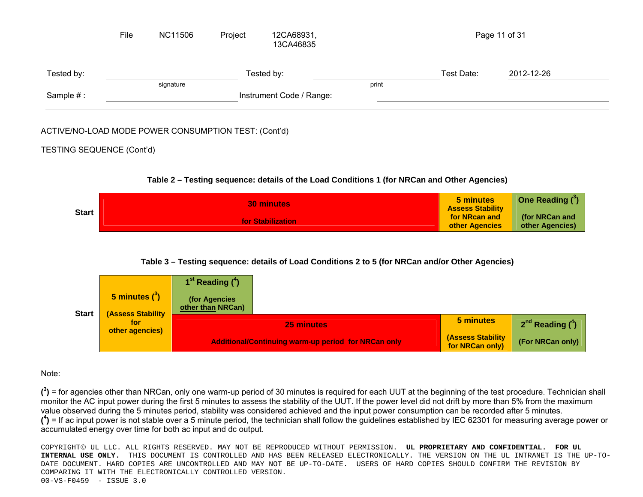|            | File | NC11506   | Project | 12CA68931,<br>13CA46835  |       |            | Page 11 of 31 |  |
|------------|------|-----------|---------|--------------------------|-------|------------|---------------|--|
| Tested by: |      |           |         | Tested by:               |       | Test Date: | 2012-12-26    |  |
|            |      | signature |         |                          | print |            |               |  |
| Sample #:  |      |           |         | Instrument Code / Range: |       |            |               |  |

# ACTIVE/NO-LOAD MODE POWER CONSUMPTION TEST: (Cont'd)

# TESTING SEQUENCE (Cont'd)

# **Table 2 – Testing sequence: details of the Load Conditions 1 (for NRCan and Other Agencies)**

|              | <b>30 minutes</b>        | 5 minutes<br><b>Assess Stability</b> | One Reading ( <sup>3</sup> )      |
|--------------|--------------------------|--------------------------------------|-----------------------------------|
| <b>Start</b> | <b>for Stabilization</b> | for NRcan and<br>other Agencies      | (for NRCan and<br>other Agencies) |

# **Table 3 – Testing sequence: details of Load Conditions 2 to 5 (for NRCan and/or Other Agencies)**



# Note:

**(3)** = for agencies other than NRCan, only one warm-up period of 30 minutes is required for each UUT at the beginning of the test procedure. Technician shall monitor the AC input power during the first 5 minutes to assess the stability of the UUT. If the power level did not drift by more than 5% from the maximum value observed during the 5 minutes period, stability was considered achieved and the input power consumption can be recorded after 5 minutes.  $(4)$  = If ac input power is not stable over a 5 minute period, the technician shall follow the guidelines established by IEC 62301 for measuring average power or accumulated energy over time for both ac input and dc output.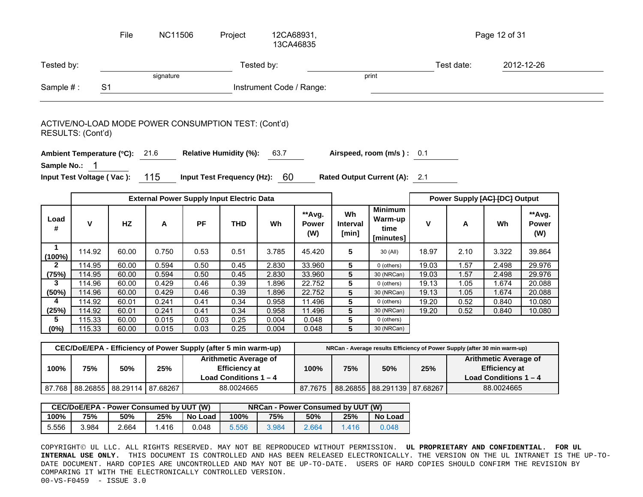|                       |                           | File                                                           | <b>NC11506</b> |           | Project                                          |                          | 12CA68931,<br>13CA46835       |                                |                                                                           |       |            | Page 12 of 31                 |                        |
|-----------------------|---------------------------|----------------------------------------------------------------|----------------|-----------|--------------------------------------------------|--------------------------|-------------------------------|--------------------------------|---------------------------------------------------------------------------|-------|------------|-------------------------------|------------------------|
| Tested by:            |                           |                                                                |                |           |                                                  | Tested by:               |                               |                                |                                                                           |       | Test date: |                               | 2012-12-26             |
|                       |                           |                                                                | signature      |           |                                                  |                          |                               |                                | print                                                                     |       |            |                               |                        |
| Sample #:             |                           | S <sub>1</sub>                                                 |                |           |                                                  | Instrument Code / Range: |                               |                                |                                                                           |       |            |                               |                        |
|                       | RESULTS: (Cont'd)         | ACTIVE/NO-LOAD MODE POWER CONSUMPTION TEST: (Cont'd)           |                |           |                                                  |                          |                               |                                |                                                                           |       |            |                               |                        |
|                       |                           | Ambient Temperature (°C): 21.6                                 |                |           | <b>Relative Humidity (%):</b>                    | 63.7                     |                               |                                | Airspeed, room (m/s): 0.1                                                 |       |            |                               |                        |
| Sample No.:           | 1                         |                                                                |                |           |                                                  |                          |                               |                                |                                                                           |       |            |                               |                        |
|                       | Input Test Voltage (Vac): |                                                                | 115            |           | Input Test Frequency (Hz): 60                    |                          |                               |                                | Rated Output Current (A): 2.1                                             |       |            |                               |                        |
|                       |                           |                                                                |                |           | <b>External Power Supply Input Electric Data</b> |                          |                               |                                |                                                                           |       |            | Power Supply [AC] [DC] Output |                        |
| Load<br>#             | V                         | HZ                                                             | Α              | <b>PF</b> | <b>THD</b>                                       | Wh                       | **Avg.<br><b>Power</b><br>(W) | Wh<br><b>Interval</b><br>[min] | <b>Minimum</b><br>Warm-up<br>time<br>[minutes]                            | V     | Α          | Wh                            | **Avg.<br>Power<br>(W) |
| $\mathbf 1$<br>(100%) | 114.92                    | 60.00                                                          | 0.750          | 0.53      | 0.51                                             | 3.785                    | 45.420                        | 5                              | 30 (All)                                                                  | 18.97 | 2.10       | 3.322                         | 39.864                 |
| $\mathbf{2}$          | 114.95                    | 60.00                                                          | 0.594          | 0.50      | 0.45                                             | 2.830                    | 33.960                        | $5\phantom{.0}$                | 0 (others)                                                                | 19.03 | 1.57       | 2.498                         | 29.976                 |
| (75%)                 | 114.95                    | 60.00                                                          | 0.594          | 0.50      | 0.45                                             | 2.830                    | 33.960                        | $\overline{5}$                 | 30 (NRCan)                                                                | 19.03 | 1.57       | 2.498                         | 29.976                 |
| 3                     | 114.96                    | 60.00                                                          | 0.429          | 0.46      | 0.39                                             | 1.896                    | 22.752                        | $\overline{5}$                 | 0 (others)                                                                | 19.13 | 1.05       | 1.674                         | 20.088                 |
| (50%)                 | 114.96                    | 60.00                                                          | 0.429          | 0.46      | 0.39                                             | 1.896                    | 22.752                        | $5\phantom{.0}$                | 30 (NRCan)                                                                | 19.13 | 1.05       | 1.674                         | 20.088                 |
| 4                     | 114.92                    | 60.01                                                          | 0.241          | 0.41      | 0.34                                             | 0.958                    | 11.496                        | 5                              | 0 (others)                                                                | 19.20 | 0.52       | 0.840                         | 10.080                 |
| (25%)                 | 114.92                    | 60.01                                                          | 0.241          | 0.41      | 0.34                                             | 0.958                    | 11.496                        | 5                              | 30 (NRCan)                                                                | 19.20 | 0.52       | 0.840                         | 10.080                 |
| 5                     | 115.33                    | 60.00                                                          | 0.015          | 0.03      | 0.25                                             | 0.004                    | 0.048                         | 5                              | 0 (others)                                                                |       |            |                               |                        |
| (0%)                  | 115.33                    | 60.00                                                          | 0.015          | 0.03      | 0.25                                             | 0.004                    | 0.048                         | $\overline{5}$                 | 30 (NRCan)                                                                |       |            |                               |                        |
|                       |                           |                                                                |                |           |                                                  |                          |                               |                                |                                                                           |       |            |                               |                        |
|                       |                           | CEC/DoE/EPA - Efficiency of Power Supply (after 5 min warm-up) |                |           |                                                  |                          |                               |                                | NRCan - Average results Efficiency of Power Supply (after 30 min warm-up) |       |            |                               |                        |
|                       |                           |                                                                |                |           | <b>Arithmetic Average of</b>                     |                          |                               |                                |                                                                           |       |            | <b>Arithmetic Average of</b>  |                        |
| 100%                  | 75%                       | 50%                                                            | 25%            |           | <b>Efficiency at</b>                             |                          | 100%                          | 75%                            | 50%                                                                       | 25%   |            | <b>Efficiency at</b>          |                        |
|                       |                           |                                                                |                |           | Load Conditions 1-4                              |                          |                               |                                |                                                                           |       |            | Load Conditions $1 - 4$       |                        |
|                       |                           | 87.768 88.26855 88.29114 87.68267                              |                |           | 88.0024665                                       |                          |                               |                                | 87.7675 88.26855 88.291139 87.68267                                       |       |            | 88.0024665                    |                        |

|       | <b>CEC/DoE/EPA - Power Consumed by UUT (W)</b> |       |      |         | NRCan - Power Consumed by UUT (W) |       |       |       |         |
|-------|------------------------------------------------|-------|------|---------|-----------------------------------|-------|-------|-------|---------|
| 100%  | 75%                                            | 50%   | 25%  | No Load | 100%                              | 75%   | 50%   | 25%   | No Load |
| 5.556 | 3.984                                          | 2.664 | .416 | 0.048   | 5.556                             | 3.984 | 2.664 | 1.416 | 0.048   |

87.768 | 88.26855 | 88.29114 | 87.68267 | 88.0024665 | 87.7675 | 88.26855 | 88.291139 | 87.68267 | 88.0024665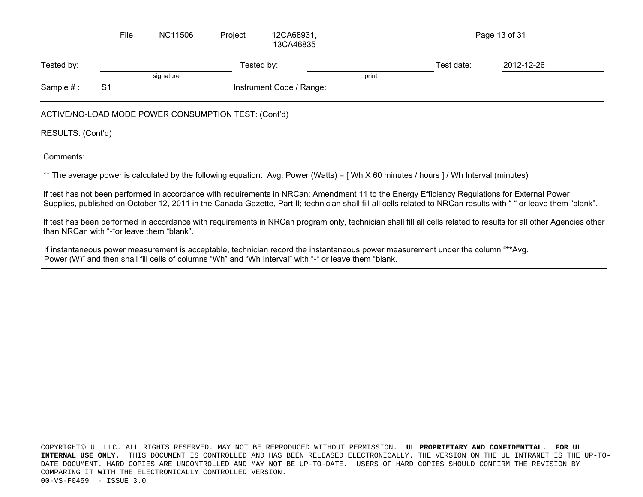|                   | File           | NC11506                                              | Project | 12CA68931,<br>13CA46835  |       |            | Page 13 of 31 |  |
|-------------------|----------------|------------------------------------------------------|---------|--------------------------|-------|------------|---------------|--|
| Tested by:        |                |                                                      |         | Tested by:               |       | Test date: | 2012-12-26    |  |
|                   |                | signature                                            |         |                          | print |            |               |  |
| Sample #:         | S <sub>1</sub> |                                                      |         | Instrument Code / Range: |       |            |               |  |
| RESULTS: (Cont'd) |                | ACTIVE/NO-LOAD MODE POWER CONSUMPTION TEST: (Cont'd) |         |                          |       |            |               |  |

Comments:

\*\* The average power is calculated by the following equation: Avg. Power (Watts) = [Wh X 60 minutes / hours ] / Wh Interval (minutes)

If test has not been performed in accordance with requirements in NRCan: Amendment 11 to the Energy Efficiency Regulations for External Power Supplies, published on October 12, 2011 in the Canada Gazette, Part II; technician shall fill all cells related to NRCan results with "-" or leave them "blank".

If test has been performed in accordance with requirements in NRCan program only, technician shall fill all cells related to results for all other Agencies other than NRCan with "-"or leave them "blank".

If instantaneous power measurement is acceptable, technician record the instantaneous power measurement under the column "\*\*Avg. Power (W)" and then shall fill cells of columns "Wh" and "Wh Interval" with "-" or leave them "blank.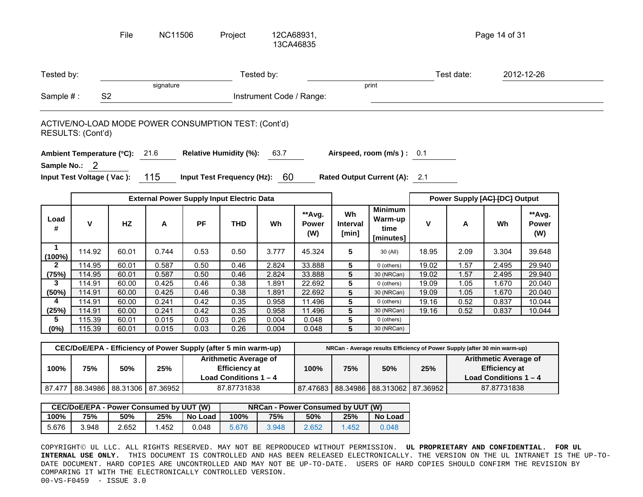|                 |                           | File                                                           | <b>NC11506</b>                                   |           | Project                                                                         |                          | 12CA68931,<br>13CA46835       |                                |                                                                           |              |            | Page 14 of 31                                                                   |                               |
|-----------------|---------------------------|----------------------------------------------------------------|--------------------------------------------------|-----------|---------------------------------------------------------------------------------|--------------------------|-------------------------------|--------------------------------|---------------------------------------------------------------------------|--------------|------------|---------------------------------------------------------------------------------|-------------------------------|
| Tested by:      |                           |                                                                |                                                  |           |                                                                                 | Tested by:               |                               |                                |                                                                           |              | Test date: |                                                                                 | 2012-12-26                    |
|                 |                           |                                                                | signature                                        |           |                                                                                 |                          |                               |                                | print                                                                     |              |            |                                                                                 |                               |
| Sample #:       |                           | S <sub>2</sub>                                                 |                                                  |           |                                                                                 | Instrument Code / Range: |                               |                                |                                                                           |              |            |                                                                                 |                               |
|                 | RESULTS: (Cont'd)         | ACTIVE/NO-LOAD MODE POWER CONSUMPTION TEST: (Cont'd)           |                                                  |           |                                                                                 |                          |                               |                                |                                                                           |              |            |                                                                                 |                               |
|                 |                           | Ambient Temperature (°C): 21.6                                 |                                                  |           | <b>Relative Humidity (%):</b>                                                   | 63.7                     |                               |                                | Airspeed, room (m/s): 0.1                                                 |              |            |                                                                                 |                               |
|                 | Sample No.: 2             |                                                                |                                                  |           |                                                                                 |                          |                               |                                |                                                                           |              |            |                                                                                 |                               |
|                 | Input Test Voltage (Vac): |                                                                | 115                                              |           | Input Test Frequency (Hz): 60                                                   |                          |                               |                                | Rated Output Current (A): 2.1                                             |              |            |                                                                                 |                               |
|                 |                           |                                                                |                                                  |           |                                                                                 |                          |                               |                                |                                                                           |              |            |                                                                                 |                               |
|                 |                           |                                                                | <b>External Power Supply Input Electric Data</b> |           |                                                                                 |                          |                               |                                |                                                                           |              |            | Power Supply [AC] [DC] Output                                                   |                               |
| Load<br>#       | $\mathsf{V}$              | <b>HZ</b>                                                      | A                                                | <b>PF</b> | <b>THD</b>                                                                      | Wh                       | **Avg.<br><b>Power</b><br>(W) | Wh<br><b>Interval</b><br>[min] | <b>Minimum</b><br>Warm-up<br>time<br>[minutes]                            | $\mathbf{V}$ | A          | Wh                                                                              | **Avg.<br><b>Power</b><br>(W) |
|                 |                           |                                                                |                                                  |           |                                                                                 |                          |                               |                                |                                                                           |              |            |                                                                                 |                               |
| $\mathbf 1$     | 114.92                    | 60.01                                                          | 0.744                                            | 0.53      | 0.50                                                                            | 3.777                    | 45.324                        | 5                              | 30 (All)                                                                  | 18.95        | 2.09       | 3.304                                                                           | 39.648                        |
| $\mathbf{2}$    | 114.95                    | 60.01                                                          | 0.587                                            | 0.50      | 0.46                                                                            | 2.824                    | 33.888                        | $\overline{\mathbf{5}}$        | 0 (others)                                                                | 19.02        | 1.57       | 2.495                                                                           | 29.940                        |
| (100%)<br>(75%) | 114.95                    | 60.01                                                          | 0.587                                            | 0.50      | 0.46                                                                            | 2.824                    | 33.888                        | $\sqrt{5}$                     | 30 (NRCan)                                                                | 19.02        | 1.57       | 2.495                                                                           | 29.940                        |
| 3               | 114.91                    | 60.00                                                          | 0.425                                            | 0.46      | 0.38                                                                            | 1.891                    | 22.692                        | $\overline{5}$                 | 0 (others)                                                                | 19.09        | 1.05       | 1.670                                                                           | 20.040                        |
| (50%)           | 114.91                    | 60.00                                                          | 0.425                                            | 0.46      | 0.38                                                                            | 1.891                    | 22.692                        | $\overline{5}$                 | 30 (NRCan)                                                                | 19.09        | 1.05       | 1.670                                                                           | 20.040                        |
| 4               | 114.91                    | 60.00                                                          | 0.241                                            | 0.42      | 0.35                                                                            | 0.958                    | 11.496                        | $\overline{\mathbf{5}}$        | 0 (others)                                                                | 19.16        | 0.52       | 0.837                                                                           | 10.044                        |
| (25%)           | 114.91                    | 60.00                                                          | 0.241                                            | 0.42      | 0.35                                                                            | 0.958                    | 11.496                        | $\overline{\mathbf{5}}$        | 30 (NRCan)                                                                | 19.16        | 0.52       | 0.837                                                                           | 10.044                        |
| 5               | 115.39                    | 60.01                                                          | 0.015                                            | 0.03      | 0.26                                                                            | 0.004                    | 0.048                         | 5                              | 0 (others)                                                                |              |            |                                                                                 |                               |
| (0%)            | 115.39                    | 60.01                                                          | 0.015                                            | 0.03      | 0.26                                                                            | 0.004                    | 0.048                         | $\overline{5}$                 | 30 (NRCan)                                                                |              |            |                                                                                 |                               |
|                 |                           |                                                                |                                                  |           |                                                                                 |                          |                               |                                |                                                                           |              |            |                                                                                 |                               |
|                 |                           | CEC/DoE/EPA - Efficiency of Power Supply (after 5 min warm-up) |                                                  |           |                                                                                 |                          |                               |                                | NRCan - Average results Efficiency of Power Supply (after 30 min warm-up) |              |            |                                                                                 |                               |
| 100%            | 75%                       | 50%                                                            | 25%                                              |           | <b>Arithmetic Average of</b><br><b>Efficiency at</b><br>Load Conditions $1 - 4$ |                          | 100%                          | 75%                            | 50%                                                                       | 25%          |            | <b>Arithmetic Average of</b><br><b>Efficiency at</b><br>Load Conditions $1 - 4$ |                               |

|       |       |       | <b>CEC/DoE/EPA - Power Consumed by UUT (W)</b> |         | NRCan - Power Consumed by UUT (W) |       |       |       |         |  |  |
|-------|-------|-------|------------------------------------------------|---------|-----------------------------------|-------|-------|-------|---------|--|--|
| 100%  | 75%   | 50%   | 25%                                            | No Load | 100%                              | 75%   | 50%   | 25%   | No Load |  |  |
| 5.676 | 3.948 | 2.652 | .452                                           | 0.048   | 5.676                             | 3.948 | 2.652 | 1.452 | 0.048   |  |  |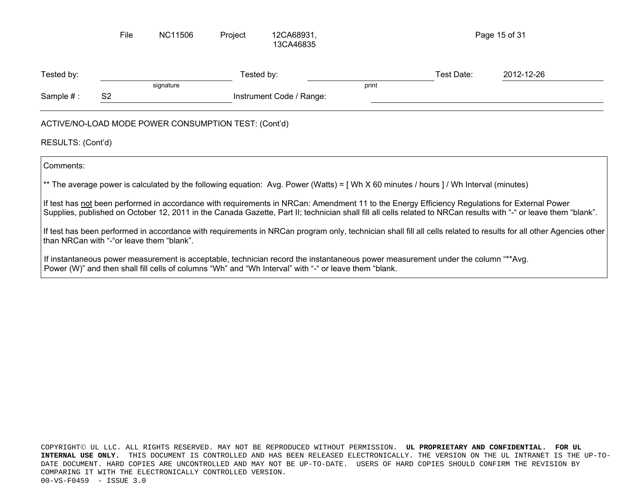|                                           | File           | NC11506                                              | Project | 12CA68931,<br>13CA46835                                                                                                                                                                                                                   |       |            | Page 15 of 31                                                                                                                                                                                                                                                                                                                                                                                                                                                                          |
|-------------------------------------------|----------------|------------------------------------------------------|---------|-------------------------------------------------------------------------------------------------------------------------------------------------------------------------------------------------------------------------------------------|-------|------------|----------------------------------------------------------------------------------------------------------------------------------------------------------------------------------------------------------------------------------------------------------------------------------------------------------------------------------------------------------------------------------------------------------------------------------------------------------------------------------------|
| Tested by:                                |                |                                                      |         | Tested by:                                                                                                                                                                                                                                |       | Test Date: | 2012-12-26                                                                                                                                                                                                                                                                                                                                                                                                                                                                             |
|                                           |                | signature                                            |         |                                                                                                                                                                                                                                           | print |            |                                                                                                                                                                                                                                                                                                                                                                                                                                                                                        |
| Sample $#:$                               | S <sub>2</sub> |                                                      |         | Instrument Code / Range:                                                                                                                                                                                                                  |       |            |                                                                                                                                                                                                                                                                                                                                                                                                                                                                                        |
| RESULTS: (Cont'd)                         |                | ACTIVE/NO-LOAD MODE POWER CONSUMPTION TEST: (Cont'd) |         |                                                                                                                                                                                                                                           |       |            |                                                                                                                                                                                                                                                                                                                                                                                                                                                                                        |
| Comments:                                 |                |                                                      |         |                                                                                                                                                                                                                                           |       |            |                                                                                                                                                                                                                                                                                                                                                                                                                                                                                        |
|                                           |                |                                                      |         | ** The average power is calculated by the following equation: Avg. Power (Watts) = [ Wh X 60 minutes / hours ] / Wh Interval (minutes)                                                                                                    |       |            |                                                                                                                                                                                                                                                                                                                                                                                                                                                                                        |
| than NRCan with "-"or leave them "blank". |                |                                                      |         |                                                                                                                                                                                                                                           |       |            | If test has not been performed in accordance with requirements in NRCan: Amendment 11 to the Energy Efficiency Regulations for External Power<br>Supplies, published on October 12, 2011 in the Canada Gazette, Part II; technician shall fill all cells related to NRCan results with "-" or leave them "blank".<br>If test has been performed in accordance with requirements in NRCan program only, technician shall fill all cells related to results for all other Agencies other |
|                                           |                |                                                      |         | If instantaneous power measurement is acceptable, technician record the instantaneous power measurement under the column "**Avg.<br>Power (W)" and then shall fill cells of columns "Wh" and "Wh Interval" with "-" or leave them "blank. |       |            |                                                                                                                                                                                                                                                                                                                                                                                                                                                                                        |
|                                           |                |                                                      |         |                                                                                                                                                                                                                                           |       |            |                                                                                                                                                                                                                                                                                                                                                                                                                                                                                        |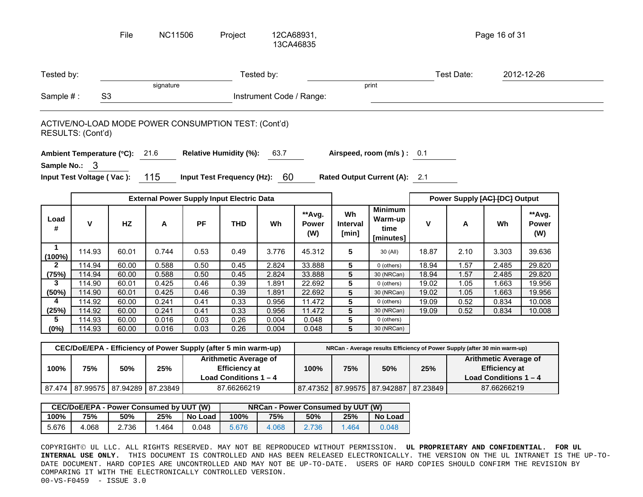|                       |                                                                           | File      | <b>NC11506</b> |           | Project                                                                         |                          | 12CA68931,<br>13CA46835       |                                |                                                                           |              |                                                                                 | Page 16 of 31                 |                        |
|-----------------------|---------------------------------------------------------------------------|-----------|----------------|-----------|---------------------------------------------------------------------------------|--------------------------|-------------------------------|--------------------------------|---------------------------------------------------------------------------|--------------|---------------------------------------------------------------------------------|-------------------------------|------------------------|
| Tested by:            |                                                                           |           |                |           |                                                                                 | Tested by:               |                               |                                |                                                                           |              | Test Date:                                                                      |                               | 2012-12-26             |
|                       |                                                                           |           | signature      |           |                                                                                 |                          |                               |                                | print                                                                     |              |                                                                                 |                               |                        |
| Sample #:             | S <sub>3</sub>                                                            |           |                |           |                                                                                 | Instrument Code / Range: |                               |                                |                                                                           |              |                                                                                 |                               |                        |
|                       | ACTIVE/NO-LOAD MODE POWER CONSUMPTION TEST: (Cont'd)<br>RESULTS: (Cont'd) |           |                |           |                                                                                 |                          |                               |                                |                                                                           |              |                                                                                 |                               |                        |
|                       |                                                                           |           |                |           |                                                                                 |                          |                               |                                |                                                                           |              |                                                                                 |                               |                        |
|                       | Ambient Temperature (°C): 21.6                                            |           |                |           | <b>Relative Humidity (%):</b>                                                   | 63.7                     |                               |                                | Airspeed, room (m/s): 0.1                                                 |              |                                                                                 |                               |                        |
|                       | Sample No.: 3                                                             |           |                |           |                                                                                 |                          |                               |                                |                                                                           |              |                                                                                 |                               |                        |
|                       | Input Test Voltage (Vac):                                                 |           | 115            |           | Input Test Frequency (Hz): 60                                                   |                          |                               |                                | Rated Output Current (A): 2.1                                             |              |                                                                                 |                               |                        |
|                       |                                                                           |           |                |           |                                                                                 |                          |                               |                                |                                                                           |              |                                                                                 |                               |                        |
|                       |                                                                           |           |                |           | <b>External Power Supply Input Electric Data</b>                                |                          |                               |                                |                                                                           |              |                                                                                 | Power Supply [AC] [DC] Output |                        |
| Load<br>#             | $\mathsf{V}$                                                              | <b>HZ</b> | Α              | <b>PF</b> | <b>THD</b>                                                                      | Wh                       | **Avg.<br><b>Power</b><br>(W) | Wh<br><b>Interval</b><br>[min] | <b>Minimum</b><br>Warm-up<br>time<br>[minutes]                            | $\mathbf{V}$ | A                                                                               | Wh                            | **Avg.<br>Power<br>(W) |
| $\mathbf 1$<br>(100%) | 114.93                                                                    | 60.01     | 0.744          | 0.53      | 0.49                                                                            | 3.776                    | 45.312                        | 5                              | 30 (All)                                                                  | 18.87        | 2.10                                                                            | 3.303                         | 39.636                 |
| $\mathbf{2}$          | 114.94                                                                    | 60.00     | 0.588          | 0.50      | 0.45                                                                            | 2.824                    | 33.888                        | $\overline{\mathbf{5}}$        | 0 (others)                                                                | 18.94        | 1.57                                                                            | 2.485                         | 29.820                 |
| (75%)                 | 114.94                                                                    | 60.00     | 0.588          | 0.50      | 0.45                                                                            | 2.824                    | 33.888                        | $5\phantom{.0}$                | 30 (NRCan)                                                                | 18.94        | 1.57                                                                            | 2.485                         | 29.820                 |
| 3                     | 114.90                                                                    | 60.01     | 0.425          | 0.46      | 0.39                                                                            | 1.891                    | 22.692                        | $\overline{5}$                 | 0 (others)                                                                | 19.02        | 1.05                                                                            | 1.663                         | 19.956                 |
| (50%)                 | 114.90                                                                    | 60.01     | 0.425          | 0.46      | 0.39                                                                            | 1.891                    | 22.692                        | $\overline{5}$                 | 30 (NRCan)                                                                | 19.02        | 1.05                                                                            | 1.663                         | 19.956                 |
| 4                     | 114.92                                                                    | 60.00     | 0.241          | 0.41      | 0.33                                                                            | 0.956                    | 11.472                        | $\overline{\mathbf{5}}$        | 0 (others)                                                                | 19.09        | 0.52                                                                            | 0.834                         | 10.008                 |
| (25%)                 | 114.92                                                                    | 60.00     | 0.241          | 0.41      | 0.33                                                                            | 0.956                    | 11.472                        | $\overline{5}$                 | 30 (NRCan)                                                                | 19.09        | 0.52                                                                            | 0.834                         | 10.008                 |
| 5                     | 114.93                                                                    | 60.00     | 0.016          | 0.03      | $\overline{0.26}$                                                               | 0.004                    | 0.048                         | $\overline{\mathbf{5}}$        | 0 (others)                                                                |              |                                                                                 |                               |                        |
| (0%)                  | 114.93                                                                    | 60.00     | 0.016          | 0.03      | 0.26                                                                            | 0.004                    | 0.048                         | $5\phantom{.0}$                | 30 (NRCan)                                                                |              |                                                                                 |                               |                        |
|                       |                                                                           |           |                |           |                                                                                 |                          |                               |                                | NRCan - Average results Efficiency of Power Supply (after 30 min warm-up) |              |                                                                                 |                               |                        |
|                       |                                                                           |           |                |           |                                                                                 |                          |                               |                                |                                                                           |              | <b>Arithmetic Average of</b><br><b>Efficiency at</b><br>Load Conditions $1 - 4$ |                               |                        |
| 100%                  | CEC/DoE/EPA - Efficiency of Power Supply (after 5 min warm-up)<br>75%     | 50%       | 25%            |           | <b>Arithmetic Average of</b><br><b>Efficiency at</b><br>Load Conditions $1 - 4$ |                          | 100%                          | 75%                            | 50%                                                                       | 25%          |                                                                                 |                               |                        |

|       |       |       | <b>CEC/DoE/EPA - Power Consumed by UUT (W)</b> |         | NRCan - Power Consumed by UUT (W) |       |       |       |         |  |
|-------|-------|-------|------------------------------------------------|---------|-----------------------------------|-------|-------|-------|---------|--|
| 100%  | 75%   | 50%   | 25%                                            | No Load | 100%                              | 75%   | 50%   | 25%   | No Load |  |
| 5.676 | 4.068 | 2.736 | .464                                           | 0.048   | 5.676                             | 4.068 | 2.736 | 1.464 | 0.048   |  |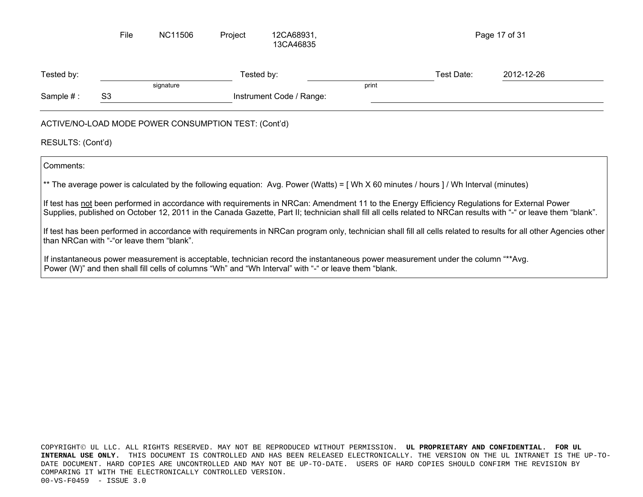|                   | File                                      | NC11506                                              | Project | 12CA68931,<br>13CA46835                                                                               |       |                                                                                                                                               | Page 17 of 31                                                                                                                                                     |
|-------------------|-------------------------------------------|------------------------------------------------------|---------|-------------------------------------------------------------------------------------------------------|-------|-----------------------------------------------------------------------------------------------------------------------------------------------|-------------------------------------------------------------------------------------------------------------------------------------------------------------------|
| Tested by:        |                                           |                                                      |         | Tested by:                                                                                            |       | Test Date:                                                                                                                                    | 2012-12-26                                                                                                                                                        |
| Sample $#:$       | S3                                        | signature                                            |         | Instrument Code / Range:                                                                              | print |                                                                                                                                               |                                                                                                                                                                   |
|                   |                                           | ACTIVE/NO-LOAD MODE POWER CONSUMPTION TEST: (Cont'd) |         |                                                                                                       |       |                                                                                                                                               |                                                                                                                                                                   |
| RESULTS: (Cont'd) |                                           |                                                      |         |                                                                                                       |       |                                                                                                                                               |                                                                                                                                                                   |
| Comments:         |                                           |                                                      |         |                                                                                                       |       |                                                                                                                                               |                                                                                                                                                                   |
|                   |                                           |                                                      |         |                                                                                                       |       | ** The average power is calculated by the following equation: Avg. Power (Watts) = [Wh X 60 minutes / hours ] / Wh Interval (minutes)         |                                                                                                                                                                   |
|                   |                                           |                                                      |         |                                                                                                       |       | If test has not been performed in accordance with requirements in NRCan: Amendment 11 to the Energy Efficiency Regulations for External Power | Supplies, published on October 12, 2011 in the Canada Gazette, Part II; technician shall fill all cells related to NRCan results with "-" or leave them "blank".  |
|                   | than NRCan with "-"or leave them "blank". |                                                      |         |                                                                                                       |       |                                                                                                                                               | If test has been performed in accordance with requirements in NRCan program only, technician shall fill all cells related to results for all other Agencies other |
|                   |                                           |                                                      |         | Power (W)" and then shall fill cells of columns "Wh" and "Wh Interval" with "-" or leave them "blank. |       | If instantaneous power measurement is acceptable, technician record the instantaneous power measurement under the column "**Avg.              |                                                                                                                                                                   |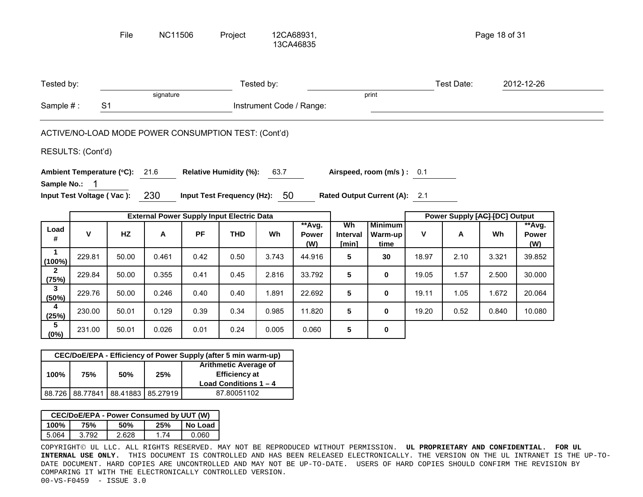|                          |                   | File                                                           | <b>NC11506</b> |           | Project                                                                         |                          | 12CA68931,<br>13CA46835       |                         |                                   |       |            | Page 18 of 31                 |                               |  |
|--------------------------|-------------------|----------------------------------------------------------------|----------------|-----------|---------------------------------------------------------------------------------|--------------------------|-------------------------------|-------------------------|-----------------------------------|-------|------------|-------------------------------|-------------------------------|--|
| Tested by:               |                   |                                                                |                |           |                                                                                 | Tested by:               |                               |                         |                                   |       | Test Date: |                               | 2012-12-26                    |  |
| Sample #:                |                   | S <sub>1</sub>                                                 | signature      |           |                                                                                 | Instrument Code / Range: |                               |                         | print                             |       |            |                               |                               |  |
|                          |                   | ACTIVE/NO-LOAD MODE POWER CONSUMPTION TEST: (Cont'd)           |                |           |                                                                                 |                          |                               |                         |                                   |       |            |                               |                               |  |
|                          | RESULTS: (Cont'd) |                                                                |                |           |                                                                                 |                          |                               |                         |                                   |       |            |                               |                               |  |
|                          |                   | Ambient Temperature (°C): 21.6                                 |                |           | <b>Relative Humidity (%):</b>                                                   | 63.7                     |                               |                         | Airspeed, room (m/s): 0.1         |       |            |                               |                               |  |
| Sample No.: 1            |                   | Input Test Voltage (Vac): 230                                  |                |           | Input Test Frequency (Hz): 50                                                   |                          |                               |                         | Rated Output Current (A): 2.1     |       |            |                               |                               |  |
|                          |                   |                                                                |                |           | <b>External Power Supply Input Electric Data</b>                                |                          |                               |                         |                                   |       |            | Power Supply [AC] [DC] Output |                               |  |
| Load<br>#                | $\mathsf{V}$      | HZ                                                             | A              | <b>PF</b> | <b>THD</b>                                                                      | Wh                       | **Avg.<br><b>Power</b><br>(W) | Wh<br>Interval<br>[min] | <b>Minimum</b><br>Warm-up<br>time | V     | A          | Wh                            | **Avg.<br><b>Power</b><br>(W) |  |
| $\mathbf 1$<br>$(100\%)$ | 229.81            | 50.00                                                          | 0.461          | 0.42      | 0.50                                                                            | 3.743                    | 44.916                        | 5                       | 30                                | 18.97 | 2.10       | 3.321                         | 39.852                        |  |
| $\mathbf{2}$<br>(75%)    | 229.84            | 50.00                                                          | 0.355          | 0.41      | 0.45                                                                            | 2.816                    | 33.792                        | 5                       | 0                                 | 19.05 | 1.57       | 2.500                         | 30.000                        |  |
| 3<br>(50%)               | 229.76            | 50.00                                                          | 0.246          | 0.40      | 0.40                                                                            | 1.891                    | 22.692                        | 5                       | 0                                 | 19.11 | 1.05       | 1.672                         | 20.064                        |  |
| 4<br>(25%)               | 230.00            | 50.01                                                          | 0.129          | 0.39      | 0.34                                                                            | 0.985                    | 11.820                        | 5                       | $\bf{0}$                          | 19.20 | 0.52       | 0.840                         | 10.080                        |  |
| $5\phantom{.0}$<br>(0%)  | 231.00            | 50.01                                                          | 0.026          | 0.01      | 0.24                                                                            | 0.005                    | 0.060                         | 5                       | 0                                 |       |            |                               |                               |  |
|                          |                   | CEC/DoE/EPA - Efficiency of Power Supply (after 5 min warm-up) |                |           |                                                                                 |                          |                               |                         |                                   |       |            |                               |                               |  |
| 100%                     | 75%               | 50%                                                            | 25%            |           | <b>Arithmetic Average of</b><br><b>Efficiency at</b><br>Load Conditions $1 - 4$ |                          |                               |                         |                                   |       |            |                               |                               |  |

| CEC/DoE/EPA - Power Consumed by UUT (W) |       |       |     |         |  |  |  |  |  |  |  |
|-----------------------------------------|-------|-------|-----|---------|--|--|--|--|--|--|--|
| 100%                                    | 75%   | 50%   | 25% | No Load |  |  |  |  |  |  |  |
| 5.064                                   | 3.792 | 2.628 | 174 | 0.060   |  |  |  |  |  |  |  |

88.726 | 88.77841 | 88.41883 | 85.27919

COPYRIGHT© UL LLC. ALL RIGHTS RESERVED. MAY NOT BE REPRODUCED WITHOUT PERMISSION. **UL PROPRIETARY AND CONFIDENTIAL. FOR UL INTERNAL USE ONLY.** THIS DOCUMENT IS CONTROLLED AND HAS BEEN RELEASED ELECTRONICALLY. THE VERSION ON THE UL INTRANET IS THE UP-TO-DATE DOCUMENT. HARD COPIES ARE UNCONTROLLED AND MAY NOT BE UP-TO-DATE. USERS OF HARD COPIES SHOULD CONFIRM THE REVISION BY COMPARING IT WITH THE ELECTRONICALLY CONTROLLED VERSION. 00-VS-F0459 - ISSUE 3.0

87.80051102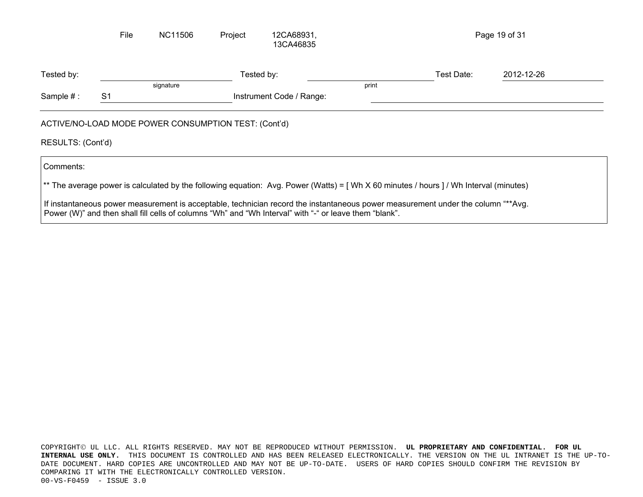|                   | File           | <b>NC11506</b>                                       | Project | 12CA68931,<br>13CA46835  |       |                                                                                                                                        | Page 19 of 31 |  |
|-------------------|----------------|------------------------------------------------------|---------|--------------------------|-------|----------------------------------------------------------------------------------------------------------------------------------------|---------------|--|
| Tested by:        |                |                                                      |         | Tested by:               |       | Test Date:                                                                                                                             | 2012-12-26    |  |
|                   |                | signature                                            |         |                          | print |                                                                                                                                        |               |  |
| Sample #:         | S <sub>1</sub> |                                                      |         | Instrument Code / Range: |       |                                                                                                                                        |               |  |
| RESULTS: (Cont'd) |                | ACTIVE/NO-LOAD MODE POWER CONSUMPTION TEST: (Cont'd) |         |                          |       |                                                                                                                                        |               |  |
| Comments:         |                |                                                      |         |                          |       |                                                                                                                                        |               |  |
|                   |                |                                                      |         |                          |       | ** The average power is calculated by the following equation: Avg. Power (Watts) = [ Wh X 60 minutes / hours ] / Wh Interval (minutes) |               |  |
|                   |                |                                                      |         |                          |       | If instantaneous power measurement is acceptable, technician record the instantaneous power measurement under the column "**Avg.       |               |  |

Power (W)" and then shall fill cells of columns "Wh" and "Wh Interval" with "-" or leave them "blank".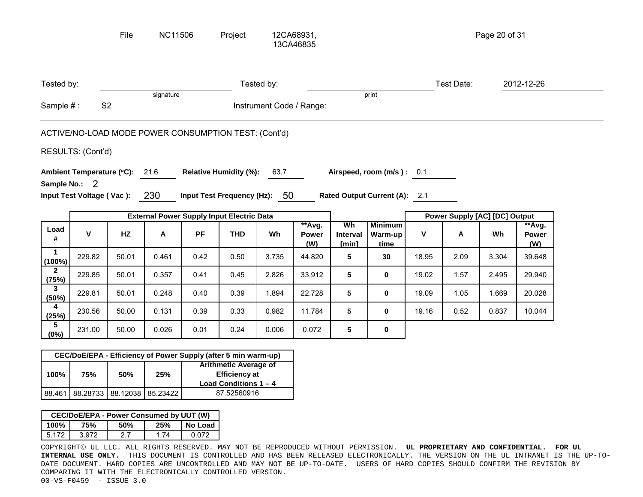|                        |                   | File                                                 | <b>NC11506</b> |      | Project                                          |                          | 12CA68931,<br>13CA46835 |                         |                                   |       |                               | Page 20 of 31 |                               |  |
|------------------------|-------------------|------------------------------------------------------|----------------|------|--------------------------------------------------|--------------------------|-------------------------|-------------------------|-----------------------------------|-------|-------------------------------|---------------|-------------------------------|--|
| Tested by:             |                   |                                                      |                |      |                                                  | Tested by:               |                         |                         |                                   |       | Test Date:                    |               | 2012-12-26                    |  |
| Sample #:              |                   | S <sub>2</sub>                                       | signature      |      |                                                  | Instrument Code / Range: |                         |                         | print                             |       |                               |               |                               |  |
|                        |                   | ACTIVE/NO-LOAD MODE POWER CONSUMPTION TEST: (Cont'd) |                |      |                                                  |                          |                         |                         |                                   |       |                               |               |                               |  |
|                        | RESULTS: (Cont'd) |                                                      |                |      |                                                  |                          |                         |                         |                                   |       |                               |               |                               |  |
|                        |                   | Ambient Temperature (°C): 21.6                       |                |      | <b>Relative Humidity (%):</b>                    | 63.7                     |                         |                         | Airspeed, room (m/s): 0.1         |       |                               |               |                               |  |
|                        | Sample No.: 2     | Input Test Voltage (Vac): 230                        |                |      | Input Test Frequency (Hz): 50                    |                          |                         |                         | Rated Output Current (A): 2.1     |       |                               |               |                               |  |
|                        |                   |                                                      |                |      | <b>External Power Supply Input Electric Data</b> |                          |                         |                         |                                   |       | Power Supply [AC] [DC] Output |               |                               |  |
| Load<br>#              | V                 | HZ                                                   | $\mathsf{A}$   | PF   | <b>THD</b>                                       | Wh                       | **Avg.<br>Power<br>(W)  | Wh<br>Interval<br>[min] | <b>Minimum</b><br>Warm-up<br>time | V     | A                             | Wh            | **Avg.<br><b>Power</b><br>(W) |  |
| $\mathbf{1}$<br>(100%) | 229.82            | 50.01                                                | 0.461          | 0.42 | 0.50                                             | 3.735                    | 44.820                  | 5                       | 30                                | 18.95 | 2.09                          | 3.304         | 39.648                        |  |
| $\mathbf{2}$<br>(75%)  | 229.85            | 50.01                                                | 0.357          | 0.41 | 0.45                                             | 2.826                    | 33.912                  | 5                       | 0                                 | 19.02 | 1.57                          | 2.495         | 29.940                        |  |
| $\mathbf{3}$<br>(50%)  | 229.81            | 50.01                                                | 0.248          | 0.40 | 0.39                                             | 1.894                    | 22.728                  | 5                       | 0                                 | 19.09 | 1.05                          | 1.669         | 20.028                        |  |
| 4<br>(25%)             | 230.56            | 50.00                                                | 0.131          | 0.39 | 0.33                                             | 0.982                    | 11.784                  | 5                       | 0                                 | 19.16 | 0.52                          | 0.837         | 10.044                        |  |
| 5                      |                   |                                                      |                |      |                                                  |                          |                         |                         |                                   |       |                               |               |                               |  |
| $(0\%)$                | 231.00            | 50.00                                                | 0.026          | 0.01 | 0.24                                             | 0.006                    | 0.072                   | 5                       | 0                                 |       |                               |               |                               |  |

| 100% | 75% | 50% | 25%                               | <b>Arithmetic Average of</b><br><b>Efficiency at</b> |  |
|------|-----|-----|-----------------------------------|------------------------------------------------------|--|
|      |     |     |                                   |                                                      |  |
|      |     |     |                                   | Load Conditions $1 - 4$                              |  |
|      |     |     | 88.461 88.28733 88.12038 85.23422 | 87.52560916                                          |  |

| CEC/DoE/EPA - Power Consumed by UUT (W) |       |     |     |         |  |  |  |  |  |  |  |
|-----------------------------------------|-------|-----|-----|---------|--|--|--|--|--|--|--|
| 100%                                    | 75%   | 50% | 25% | No Load |  |  |  |  |  |  |  |
| 5 172                                   | 3.972 | 27  | 174 | 0.072   |  |  |  |  |  |  |  |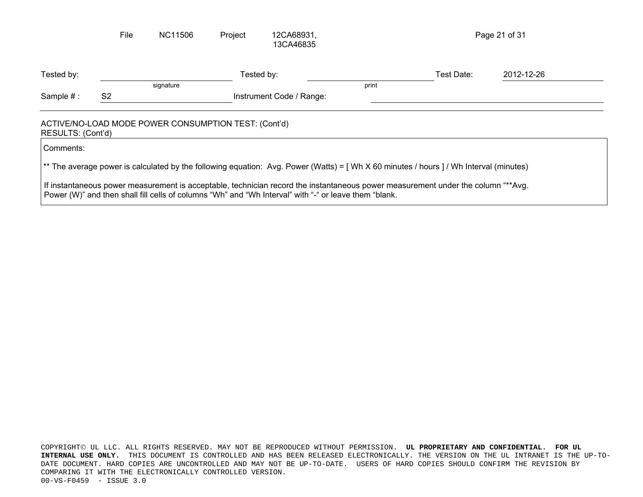|                   | File           | NC11506                                              | Project | 12CA68931,<br>13CA46835                                                                                                                                                                                                                   |       |            | Page 21 of 31 |
|-------------------|----------------|------------------------------------------------------|---------|-------------------------------------------------------------------------------------------------------------------------------------------------------------------------------------------------------------------------------------------|-------|------------|---------------|
| Tested by:        |                |                                                      |         | Tested by:                                                                                                                                                                                                                                |       | Test Date: | 2012-12-26    |
|                   |                | signature                                            |         |                                                                                                                                                                                                                                           | print |            |               |
| Sample $#:$       | S <sub>2</sub> |                                                      |         | Instrument Code / Range:                                                                                                                                                                                                                  |       |            |               |
| RESULTS: (Cont'd) |                | ACTIVE/NO-LOAD MODE POWER CONSUMPTION TEST: (Cont'd) |         |                                                                                                                                                                                                                                           |       |            |               |
| Comments:         |                |                                                      |         |                                                                                                                                                                                                                                           |       |            |               |
|                   |                |                                                      |         | ** The average power is calculated by the following equation: Avg. Power (Watts) = [ Wh X 60 minutes / hours ] / Wh Interval (minutes)                                                                                                    |       |            |               |
|                   |                |                                                      |         | If instantaneous power measurement is acceptable, technician record the instantaneous power measurement under the column "**Avg.<br>Power (W)" and then shall fill cells of columns "Wh" and "Wh Interval" with "-" or leave them "blank. |       |            |               |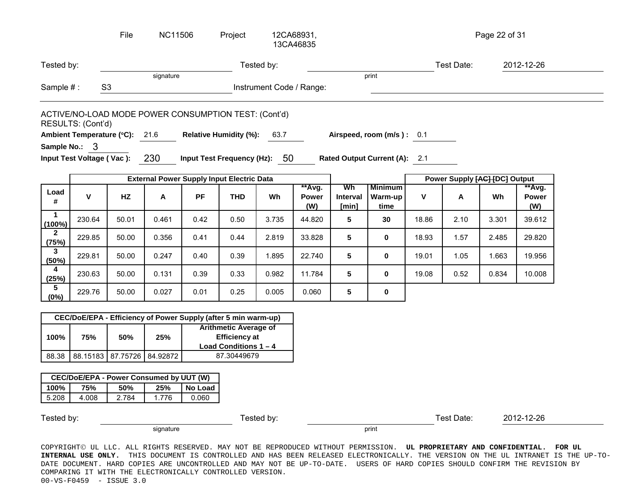|                                      |                                                  | File                                                 | <b>NC11506</b> |            | Project                       | 12CA68931,<br>13CA46835       |                               |                                |                                   |       |                               | Page 22 of 31 |                               |
|--------------------------------------|--------------------------------------------------|------------------------------------------------------|----------------|------------|-------------------------------|-------------------------------|-------------------------------|--------------------------------|-----------------------------------|-------|-------------------------------|---------------|-------------------------------|
| Tested by:                           |                                                  |                                                      |                | Tested by: |                               |                               |                               |                                | Test Date:                        |       | 2012-12-26                    |               |                               |
| Sample #:                            |                                                  | S <sub>3</sub>                                       | signature      |            |                               | Instrument Code / Range:      |                               | print                          |                                   |       |                               |               |                               |
|                                      | RESULTS: (Cont'd)                                | ACTIVE/NO-LOAD MODE POWER CONSUMPTION TEST: (Cont'd) |                |            |                               |                               |                               |                                |                                   |       |                               |               |                               |
|                                      |                                                  | Ambient Temperature (°C): 21.6                       |                |            | <b>Relative Humidity (%):</b> | 63.7                          |                               |                                | Airspeed, room (m/s): 0.1         |       |                               |               |                               |
|                                      | Sample No.: 3<br>Input Test Voltage (Vac):       |                                                      | 230            |            |                               | Input Test Frequency (Hz): 50 |                               |                                | Rated Output Current (A): 2.1     |       |                               |               |                               |
|                                      | <b>External Power Supply Input Electric Data</b> |                                                      |                |            |                               |                               |                               |                                |                                   |       |                               |               |                               |
|                                      |                                                  |                                                      |                |            |                               |                               |                               |                                |                                   |       | Power Supply [AC] [DC] Output |               |                               |
| Load<br>#                            | V                                                | HZ                                                   | Α              | <b>PF</b>  | <b>THD</b>                    | <b>Wh</b>                     | **Avg.<br><b>Power</b><br>(W) | Wh<br><b>Interval</b><br>[min] | <b>Minimum</b><br>Warm-up<br>time | V     | A                             | Wh            | **Avg.<br><b>Power</b><br>(W) |
| 1                                    | 230.64                                           | 50.01                                                | 0.461          | 0.42       | 0.50                          | 3.735                         | 44.820                        | 5                              | 30                                | 18.86 | 2.10                          | 3.301         | 39.612                        |
| $(100\%)$<br>$\overline{2}$<br>(75%) | 229.85                                           | 50.00                                                | 0.356          | 0.41       | 0.44                          | 2.819                         | 33.828                        | 5                              | 0                                 | 18.93 | 1.57                          | 2.485         | 29.820                        |
| 3<br>(50%)                           | 229.81                                           | 50.00                                                | 0.247          | 0.40       | 0.39                          | 1.895                         | 22.740                        | 5                              | 0                                 | 19.01 | 1.05                          | 1.663         | 19.956                        |
| 4<br>(25%)                           | 230.63                                           | 50.00                                                | 0.131          | 0.39       | 0.33                          | 0.982                         | 11.784                        | 5                              | 0                                 | 19.08 | 0.52                          | 0.834         | 10.008                        |

|       | CEC/DoE/EPA - Efficiency of Power Supply (after 5 min warm-up) |                                                                                 |                            |             |  |  |  |  |
|-------|----------------------------------------------------------------|---------------------------------------------------------------------------------|----------------------------|-------------|--|--|--|--|
| 100%  | 75%                                                            | <b>Arithmetic Average of</b><br><b>Efficiency at</b><br>Load Conditions $1 - 4$ |                            |             |  |  |  |  |
| 88.38 |                                                                |                                                                                 | 88.15183 87.75726 84.92872 | 87.30449679 |  |  |  |  |

| CEC/DoE/EPA - Power Consumed by UUT (W) |       |       |       |       |  |  |  |
|-----------------------------------------|-------|-------|-------|-------|--|--|--|
| 25%<br>No Load<br>100%<br>75%<br>50%    |       |       |       |       |  |  |  |
| 5.208                                   | 4.008 | 2.784 | 1 776 | 0.060 |  |  |  |

signature that is a set of the set of the set of the set of the set of the set of the set of the set of the se

Tested by: Tested by: Test Date: 2012-12-26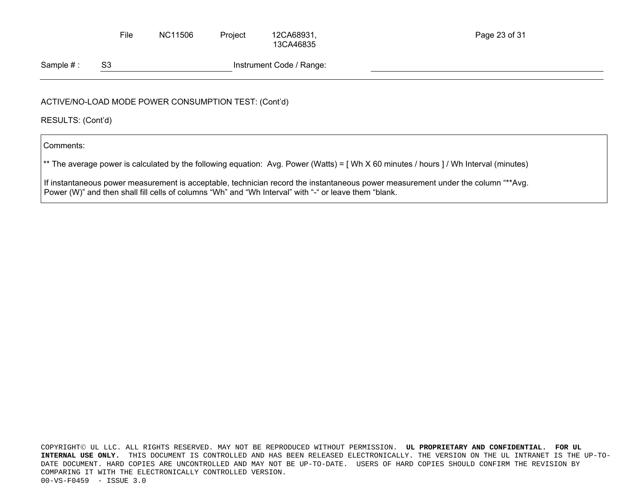File NC11506 Project 12CA68931, 13CA46835

Sample #: S3 Instrument Code / Range:

# ACTIVE/NO-LOAD MODE POWER CONSUMPTION TEST: (Cont'd)

RESULTS: (Cont'd)

Comments:

\*\* The average power is calculated by the following equation: Avg. Power (Watts) = [Wh X 60 minutes / hours ] / Wh Interval (minutes)

If instantaneous power measurement is acceptable, technician record the instantaneous power measurement under the column "\*\*Avg. Power (W)" and then shall fill cells of columns "Wh" and "Wh Interval" with "-" or leave them "blank.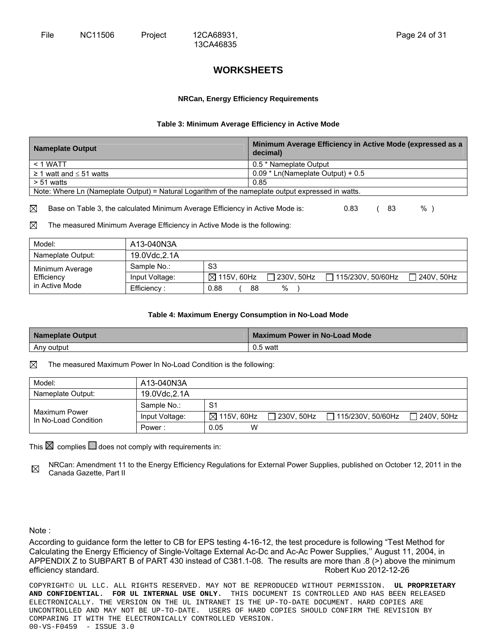# **WORKSHEETS**

13CA46835

#### **NRCan, Energy Efficiency Requirements**

#### **Table 3: Minimum Average Efficiency in Active Mode**

| <b>Nameplate Output</b>                                                                           | Minimum Average Efficiency in Active Mode (expressed as a<br>decimal) |  |  |  |
|---------------------------------------------------------------------------------------------------|-----------------------------------------------------------------------|--|--|--|
| $<$ 1 WATT                                                                                        | 0.5 * Nameplate Output                                                |  |  |  |
| $\geq$ 1 watt and $\leq$ 51 watts                                                                 | $0.09 *$ Ln(Nameplate Output) + 0.5                                   |  |  |  |
| $> 51$ watts                                                                                      | 0.85                                                                  |  |  |  |
| Note: Where Ln (Nameplate Output) = Natural Logarithm of the nameplate output expressed in watts. |                                                                       |  |  |  |

 $\boxtimes$  Base on Table 3, the calculated Minimum Average Efficiency in Active Mode is:  $\text{0.83}$  (83 %)

 $\boxtimes$  The measured Minimum Average Efficiency in Active Mode is the following:

| Model:            | A13-040N3A     |                                      |                                  |
|-------------------|----------------|--------------------------------------|----------------------------------|
| Nameplate Output: | 19.0Vdc, 2.1A  |                                      |                                  |
| Minimum Average   | Sample No.:    | S3                                   |                                  |
| Efficiency        | Input Voltage: | $\boxtimes$ 115V, 60Hz<br>230V. 50Hz | 240V, 50Hz<br>1115/230V, 50/60Hz |
| in Active Mode    | Efficiency:    | %<br>0.88<br>88                      |                                  |

#### **Table 4: Maximum Energy Consumption in No-Load Mode**

| Nameplate Output | <b>Maximum Power in No-Load Mode</b> |
|------------------|--------------------------------------|
| Any output       | $0.5$ watt                           |

 $\boxtimes$  The measured Maximum Power In No-Load Condition is the following:

| Model:                                | A13-040N3A     |           |                                                                                     |  |
|---------------------------------------|----------------|-----------|-------------------------------------------------------------------------------------|--|
| Nameplate Output:                     | 19.0Vdc.2.1A   |           |                                                                                     |  |
|                                       | Sample No.:    | S1        |                                                                                     |  |
| Maximum Power<br>In No-Load Condition | Input Voltage: |           | $\boxtimes$ 115V, 60Hz $\Box$ 230V, 50Hz $\Box$ 115/230V, 50/60Hz $\Box$ 240V, 50Hz |  |
|                                       | Power:         | W<br>0.05 |                                                                                     |  |

This  $\boxtimes$  complies  $\Box$  does not comply with requirements in:

NRCan: Amendment 11 to the Energy Efficiency Regulations for External Power Supplies, published on October 12, 2011 in the ⊠ Canada Gazette, Part II

Note :

According to guidance form the letter to CB for EPS testing 4-16-12, the test procedure is following "Test Method for Calculating the Energy Efficiency of Single-Voltage External Ac-Dc and Ac-Ac Power Supplies,'' August 11, 2004, in APPENDIX Z to SUBPART B of PART 430 instead of C381.1-08. The results are more than .8 (>) above the minimum efficiency standard. The contract of the contract of the contract of the Robert Kuo 2012-12-26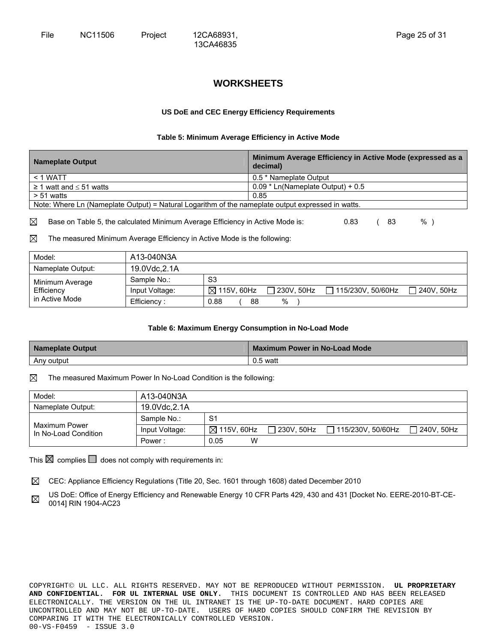# **WORKSHEETS**

13CA46835

#### **US DoE and CEC Energy Efficiency Requirements**

#### **Table 5: Minimum Average Efficiency in Active Mode**

| <b>Nameplate Output</b>                                                                           | Minimum Average Efficiency in Active Mode (expressed as a<br>decimal) |
|---------------------------------------------------------------------------------------------------|-----------------------------------------------------------------------|
| $<$ 1 WATT                                                                                        | 0.5 * Nameplate Output                                                |
| $\geq$ 1 watt and $\leq$ 51 watts                                                                 | $0.09 *$ Ln(Nameplate Output) + 0.5                                   |
| $> 51$ watts                                                                                      | 0.85                                                                  |
| Note: Where Ln (Nameplate Output) = Natural Logarithm of the nameplate output expressed in watts. |                                                                       |
|                                                                                                   |                                                                       |

 $\boxtimes$  Base on Table 5, the calculated Minimum Average Efficiency in Active Mode is:  $\text{0.83}$  (83 %)

 $\boxtimes$  The measured Minimum Average Efficiency in Active Mode is the following:

| Model:            | A13-040N3A     |                        |              |                          |            |
|-------------------|----------------|------------------------|--------------|--------------------------|------------|
| Nameplate Output: | 19.0Vdc.2.1A   |                        |              |                          |            |
| Minimum Average   | Sample No.:    | S <sub>3</sub>         |              |                          |            |
| Efficiency        | Input Voltage: | $\boxtimes$ 115V, 60Hz | □ 230V. 50Hz | $\Box$ 115/230V. 50/60Hz | 240V, 50Hz |
| in Active Mode    | Efficiency ·   | 0.88<br>88             | %            |                          |            |

#### **Table 6: Maximum Energy Consumption in No-Load Mode**

| <b>Nameplate Output</b> | Maximum Power in No-Load Mode |
|-------------------------|-------------------------------|
| Any output              | $0.5$ watt                    |

 $\boxtimes$  The measured Maximum Power In No-Load Condition is the following:

| Model:                                | A13-040N3A     |                        |              |                     |                   |
|---------------------------------------|----------------|------------------------|--------------|---------------------|-------------------|
| Nameplate Output:                     | 19.0Vdc, 2.1A  |                        |              |                     |                   |
|                                       | Sample No.:    | S <sub>1</sub>         |              |                     |                   |
| Maximum Power<br>In No-Load Condition | Input Voltage: | $\boxtimes$ 115V, 60Hz | ∃ 230V. 50Hz | □ 115/230V. 50/60Hz | $\Box$ 240V. 50Hz |
|                                       | Power:         | W<br>0.05              |              |                     |                   |

This  $\boxtimes$  complies  $\Box$  does not comply with requirements in:

 $\boxtimes$  CEC: Appliance Efficiency Regulations (Title 20, Sec. 1601 through 1608) dated December 2010

US DoE: Office of Energy Efficiency and Renewable Energy 10 CFR Parts 429, 430 and 431 [Docket No. EERE-2010-BT-CE-⊠ 0014] RIN 1904-AC23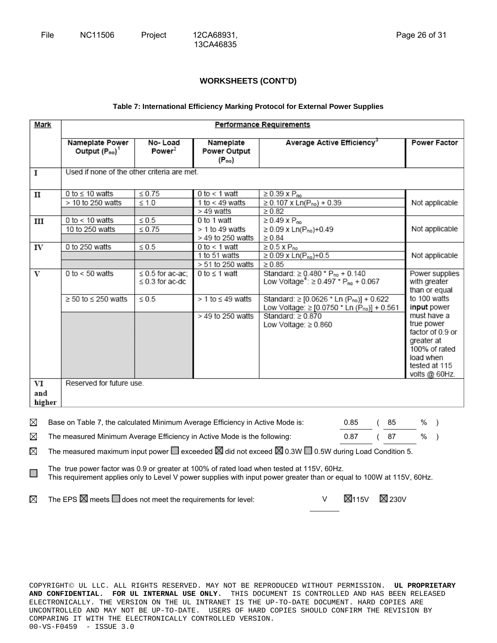#### **Table 7: International Efficiency Marking Protocol for External Power Supplies**

| Mark                                                                                                                                                                         | Performance Requirements                                                                                                                                                                                              |                               |                                                       |                                                                                                                       |              |             |                                                 |                                |  |
|------------------------------------------------------------------------------------------------------------------------------------------------------------------------------|-----------------------------------------------------------------------------------------------------------------------------------------------------------------------------------------------------------------------|-------------------------------|-------------------------------------------------------|-----------------------------------------------------------------------------------------------------------------------|--------------|-------------|-------------------------------------------------|--------------------------------|--|
|                                                                                                                                                                              | Nameplate Power<br>Output $(P_{no})^1$                                                                                                                                                                                | No-Load<br>Power <sup>2</sup> | Nameplate<br>Power Output<br>$(P_{no})$               | Average Active Efficiency <sup>3</sup>                                                                                |              |             |                                                 | <b>Power Factor</b>            |  |
| 1                                                                                                                                                                            | Used if none of the other criteria are met.                                                                                                                                                                           |                               |                                                       |                                                                                                                       |              |             |                                                 |                                |  |
| $\mathbf{I}$                                                                                                                                                                 | 0 to $\leq$ 10 watts<br>> 10 to 250 watts                                                                                                                                                                             | $\leq 0.75$<br>$\leq 1.0$     | 0 to $<$ 1 watt<br>1 to $<$ 49 watts<br>$>49$ watts   | $\geq$ 0.39 x P <sub>no</sub><br>$\geq 0.107 \times \text{Ln}(P_{no}) + 0.39$<br>$\geq 0.82$                          |              |             |                                                 | Not applicable                 |  |
| III                                                                                                                                                                          | 0 to $<$ 10 watts<br>10 to 250 watts                                                                                                                                                                                  | $\leq 0.5$<br>$\leq 0.75$     | 0 to 1 watt<br>$>$ 1 to 49 watts<br>> 49 to 250 watts | $\geq$ 0.49 x P <sub>no</sub><br>$\geq 0.09$ x Ln(P <sub>no</sub> )+0.49<br>$\geq 0.84$                               |              |             |                                                 | Not applicable                 |  |
| IV                                                                                                                                                                           | 0 to 250 watts                                                                                                                                                                                                        | $\leq 0.5$                    | 0 to $<$ 1 watt<br>1 to 51 watts<br>> 51 to 250 watts | $\geq 0.5$ X P <sub>no</sub><br>≥ 0.09 x Ln( $P_{no}$ )+0.5<br>$\geq 0.85$                                            |              |             |                                                 | Not applicable                 |  |
| $\mathbf{V}$                                                                                                                                                                 | 0 to $<$ 50 watts<br>0 to $\leq$ 1 watt<br>Standard: $\geq$ 0.480 $*$ P <sub>no</sub> + 0.140<br>$\leq$ 0.5 for ac-ac;<br>Low Voltage <sup>4</sup> : $\geq$ 0.497 $*$ P <sub>no</sub> + 0.067<br>$\leq$ 0.3 for ac-dc |                               |                                                       |                                                                                                                       |              |             | Power supplies<br>with greater<br>than or equal |                                |  |
|                                                                                                                                                                              | $\geq$ 50 to $\leq$ 250 watts                                                                                                                                                                                         | $\leq 0.5$                    | $> 1$ to $\leq 49$ watts                              | Standard: ≥ [0.0626 * Ln (P <sub>no</sub> )] + 0.622<br>Low Voltage: $\ge$ [0.0750 $*$ Ln (P <sub>no</sub> )] + 0.561 | to 100 watts | input power |                                                 |                                |  |
|                                                                                                                                                                              |                                                                                                                                                                                                                       |                               | > 49 to 250 watts                                     | Standard: $\geq 0.870$<br>Low Voltage: $\geq 0.860$                                                                   |              |             | must have a<br>true power                       |                                |  |
|                                                                                                                                                                              |                                                                                                                                                                                                                       |                               |                                                       |                                                                                                                       |              |             | greater at                                      | factor of 0.9 or               |  |
|                                                                                                                                                                              |                                                                                                                                                                                                                       |                               |                                                       |                                                                                                                       |              |             | load when                                       | 100% of rated                  |  |
|                                                                                                                                                                              |                                                                                                                                                                                                                       |                               |                                                       |                                                                                                                       |              |             |                                                 | tested at 115<br>volts @ 60Hz. |  |
| VI<br>and<br>higher                                                                                                                                                          | Reserved for future use.                                                                                                                                                                                              |                               |                                                       |                                                                                                                       |              |             |                                                 |                                |  |
| ⊠                                                                                                                                                                            |                                                                                                                                                                                                                       |                               |                                                       |                                                                                                                       | 0.85         | 85          | %                                               | $\rightarrow$                  |  |
| Base on Table 7, the calculated Minimum Average Efficiency in Active Mode is:<br>⊠<br>The measured Minimum Average Efficiency in Active Mode is the following:<br>0.87<br>87 |                                                                                                                                                                                                                       |                               |                                                       |                                                                                                                       |              |             |                                                 |                                |  |

The measured maximum input power  $\Box$  exceeded  $\boxtimes$  did not exceed  $\boxtimes$  0.3W  $\Box$  0.5W during Load Condition 5.  $\boxtimes$ 

The true power factor was 0.9 or greater at 100% of rated load when tested at 115V, 60Hz. □ This requirement applies only to Level V power supplies with input power greater than or equal to 100W at 115V, 60Hz.

The EPS  $\boxtimes$  meets  $\Box$  does not meet the requirements for level:  $V = \boxtimes 115V$   $\boxtimes$  230V  $\boxtimes$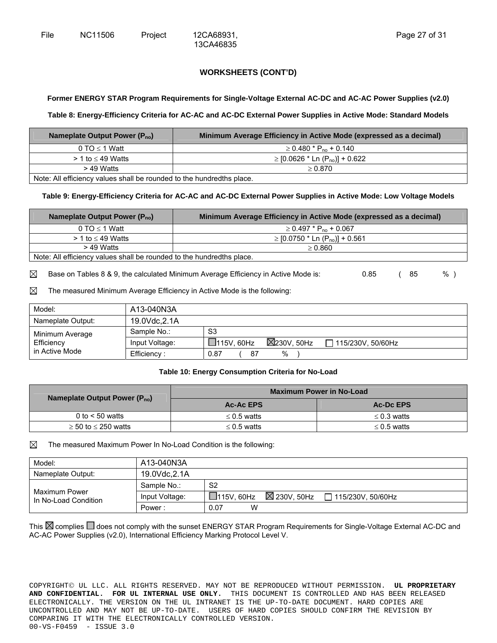13CA46835

#### **Former ENERGY STAR Program Requirements for Single-Voltage External AC-DC and AC-AC Power Supplies (v2.0)**

#### **Table 8: Energy-Efficiency Criteria for AC-AC and AC-DC External Power Supplies in Active Mode: Standard Models**

| Nameplate Output Power $(P_{no})$                                     | Minimum Average Efficiency in Active Mode (expressed as a decimal) |  |
|-----------------------------------------------------------------------|--------------------------------------------------------------------|--|
| 0 TO $\leq$ 1 Watt                                                    | $\geq$ 0.480 $^{\star}$ P <sub>no</sub> + 0.140                    |  |
| $>$ 1 to $\leq$ 49 Watts                                              | $\ge$ [0.0626 $*$ Ln (P <sub>no</sub> )] + 0.622                   |  |
| > 49 Watts                                                            | $\geq 0.870$                                                       |  |
| Note: All efficiency values shall be rounded to the hundredths place. |                                                                    |  |

#### **Table 9: Energy-Efficiency Criteria for AC-AC and AC-DC External Power Supplies in Active Mode: Low Voltage Models**

| Nameplate Output Power $(P_{no})$                                     | Minimum Average Efficiency in Active Mode (expressed as a decimal) |  |
|-----------------------------------------------------------------------|--------------------------------------------------------------------|--|
| 0 TO $\leq$ 1 Watt                                                    | $\geq$ 0.497 $*$ P <sub>no</sub> + 0.067                           |  |
| $>$ 1 to $\leq$ 49 Watts                                              | ≥ [0.0750 * Ln (P <sub>no</sub> )] + 0.561                         |  |
| $>$ 49 Watts                                                          | > 0.860                                                            |  |
| Note: All efficiency values shall be rounded to the hundredths place. |                                                                    |  |

 $\boxtimes$  Base on Tables 8 & 9, the calculated Minimum Average Efficiency in Active Mode is: 0.85 (85 %)

 $\boxtimes$  The measured Minimum Average Efficiency in Active Mode is the following:

| Model:            | A13-040N3A     |                                             |                     |
|-------------------|----------------|---------------------------------------------|---------------------|
| Nameplate Output: | 19.0Vdc, 2.1A  |                                             |                     |
| Minimum Average   | Sample No.:    | S3                                          |                     |
| Efficiency        | Input Voltage: | $\boxtimes$ 230V. 50Hz<br>$\Box$ 115V, 60Hz | □ 115/230V. 50/60Hz |
| in Active Mode    | Efficiency:    | %<br>0.87<br>87                             |                     |

#### **Table 10: Energy Consumption Criteria for No-Load**

| Nameplate Output Power $(P_{no})$ | <b>Maximum Power in No-Load</b> |                  |  |
|-----------------------------------|---------------------------------|------------------|--|
|                                   | Ac-Ac EPS                       | <b>Ac-Dc EPS</b> |  |
| 0 to $<$ 50 watts                 | $\leq$ 0.5 watts                | $\leq$ 0.3 watts |  |
| $\geq$ 50 to $\leq$ 250 watts     | $\leq$ 0.5 watts                | $\leq$ 0.5 watts |  |

#### $\boxtimes$  The measured Maximum Power In No-Load Condition is the following:

| Model:                                | A13-040N3A     |                                                                         |
|---------------------------------------|----------------|-------------------------------------------------------------------------|
| Nameplate Output:                     | 19.0Vdc, 2.1A  |                                                                         |
|                                       | Sample No.:    | S <sub>2</sub>                                                          |
| Maximum Power<br>In No-Load Condition | Input Voltage: | $\boxtimes$ 230V, 50Hz<br>$\Box$ 115V, 60Hz<br>$\Box$ 115/230V, 50/60Hz |
|                                       | Power:         | W<br>0.07                                                               |

This  $\boxtimes$  complies  $\Box$  does not comply with the sunset ENERGY STAR Program Requirements for Single-Voltage External AC-DC and AC-AC Power Supplies (v2.0), International Efficiency Marking Protocol Level V.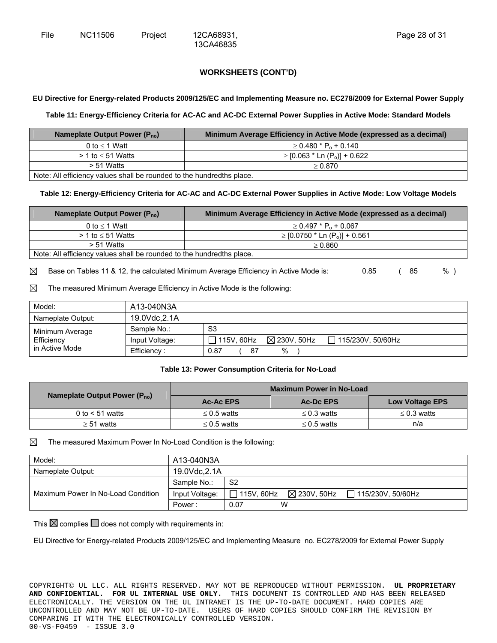13CA46835

## **EU Directive for Energy-related Products 2009/125/EC and Implementing Measure no. EC278/2009 for External Power Supply**

#### **Table 11: Energy-Efficiency Criteria for AC-AC and AC-DC External Power Supplies in Active Mode: Standard Models**

| Nameplate Output Power (P <sub>no</sub> )                              | Minimum Average Efficiency in Active Mode (expressed as a decimal) |  |
|------------------------------------------------------------------------|--------------------------------------------------------------------|--|
| 0 to $\leq$ 1 Watt                                                     | $\geq$ 0.480 $*$ P <sub>0</sub> + 0.140                            |  |
| $> 1$ to $\leq 51$ Watts                                               | $\ge$ [0.063 * Ln (P <sub>0</sub> )] + 0.622                       |  |
| $> 51$ Watts                                                           | > 0.870                                                            |  |
| Note: All efficiency values aboll be revealed to the bundredthe place. |                                                                    |  |

Note: All efficiency values shall be rounded to the hundredths place.

#### **Table 12: Energy-Efficiency Criteria for AC-AC and AC-DC External Power Supplies in Active Mode: Low Voltage Models**

| Nameplate Output Power $(P_{no})$                                     | Minimum Average Efficiency in Active Mode (expressed as a decimal) |  |
|-----------------------------------------------------------------------|--------------------------------------------------------------------|--|
| 0 to $\leq$ 1 Watt                                                    | $\geq$ 0.497 $*$ P <sub>0</sub> + 0.067                            |  |
| $>$ 1 to $\leq$ 51 Watts                                              | $\ge$ [0.0750 $*$ Ln (P <sub>o</sub> )] + 0.561                    |  |
| > 51 Watts                                                            | > 0.860                                                            |  |
| Note: All efficiency values shall be rounded to the hundredths place. |                                                                    |  |

 $\boxtimes$  Base on Tables 11 & 12, the calculated Minimum Average Efficiency in Active Mode is: 0.85 (85 %)

 $\boxtimes$  The measured Minimum Average Efficiency in Active Mode is the following:

| Model:            | A13-040N3A     |                                                                  |  |
|-------------------|----------------|------------------------------------------------------------------|--|
| Nameplate Output: | 19.0Vdc, 2.1A  |                                                                  |  |
| Minimum Average   | Sample No.:    | S3                                                               |  |
| Efficiency        | Input Voltage: | $\boxtimes$ 230V, 50Hz<br>$\Box$ 115V, 60Hz<br>115/230V, 50/60Hz |  |
| in Active Mode    | Efficiency:    | %<br>87<br>0.87                                                  |  |

#### **Table 13: Power Consumption Criteria for No-Load**

| Nameplate Output Power $(P_{no})$ | <b>Maximum Power in No-Load</b> |                  |                        |
|-----------------------------------|---------------------------------|------------------|------------------------|
|                                   | <b>Ac-Ac EPS</b>                | Ac-Dc EPS        | <b>Low Voltage EPS</b> |
| 0 to $<$ 51 watts                 | $\leq$ 0.5 watts                | $\leq$ 0.3 watts | $\leq$ 0.3 watts       |
| $\geq$ 51 watts                   | $\leq$ 0.5 watts                | $\leq$ 0.5 watts | n/a                    |

#### $\boxtimes$  The measured Maximum Power In No-Load Condition is the following:

| Model:                             | A13-040N3A     |                                                                      |  |
|------------------------------------|----------------|----------------------------------------------------------------------|--|
| Nameplate Output:                  | 19.0Vdc, 2.1A  |                                                                      |  |
|                                    | Sample No.:    | S <sub>2</sub>                                                       |  |
| Maximum Power In No-Load Condition | Input Voltage: | $\boxtimes$ 230V, 50Hz $\Box$ 115/230V, 50/60Hz<br>$\Box$ 115V. 60Hz |  |
|                                    | Power:         | W<br>0.07                                                            |  |

This  $\boxtimes$  complies  $\Box$  does not comply with requirements in:

EU Directive for Energy-related Products 2009/125/EC and Implementing Measure no. EC278/2009 for External Power Supply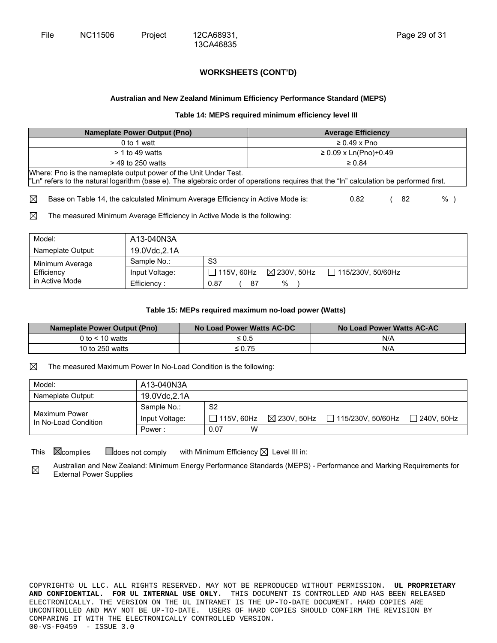13CA46835

#### **Australian and New Zealand Minimum Efficiency Performance Standard (MEPS)**

#### **Table 14: MEPS required minimum efficiency level III**

| <b>Nameplate Power Output (Pno)</b>                                                                                                                                                                         | <b>Average Efficiency</b> |  |  |
|-------------------------------------------------------------------------------------------------------------------------------------------------------------------------------------------------------------|---------------------------|--|--|
| 0 to 1 watt                                                                                                                                                                                                 | $\geq 0.49 \times Pno$    |  |  |
| $> 1$ to 49 watts                                                                                                                                                                                           | $≥ 0.09$ x Ln(Pno)+0.49   |  |  |
| $>$ 49 to 250 watts                                                                                                                                                                                         | $\geq 0.84$               |  |  |
| Where: Pno is the nameplate output power of the Unit Under Test.<br>"Ln" refers to the natural logarithm (base e). The algebraic order of operations requires that the "In" calculation be performed first. |                           |  |  |
| ⊠<br>Base on Table 14, the calculated Minimum Average Efficiency in Active Mode is:                                                                                                                         | %<br>0.82<br>82           |  |  |

 $\boxtimes$  The measured Minimum Average Efficiency in Active Mode is the following:

| Model:            | A13-040N3A     |                                      |                          |
|-------------------|----------------|--------------------------------------|--------------------------|
| Nameplate Output: | 19.0Vdc, 2.1A  |                                      |                          |
| Minimum Average   | Sample No.:    | S3                                   |                          |
| Efficiency        | Input Voltage: | $\boxtimes$ 230V. 50Hz<br>115V, 60Hz | $\Box$ 115/230V, 50/60Hz |
| in Active Mode    | Efficiency:    | %<br>0.87<br>87                      |                          |

#### **Table 15: MEPs required maximum no-load power (Watts)**

| <b>Nameplate Power Output (Pno)</b> | No Load Power Watts AC-DC | No Load Power Watts AC-AC |
|-------------------------------------|---------------------------|---------------------------|
| 0 to $< 10$ watts                   | ≤ 0.5                     | N/A                       |
| 10 to 250 watts                     | ≤ 0.75                    | N/A                       |

 $\boxtimes$  The measured Maximum Power In No-Load Condition is the following:

| Model:                                | A13-040N3A     |                   |                        |                   |            |
|---------------------------------------|----------------|-------------------|------------------------|-------------------|------------|
| Nameplate Output:                     | 19.0Vdc.2.1A   |                   |                        |                   |            |
| Maximum Power<br>In No-Load Condition | Sample No.:    | S <sub>2</sub>    |                        |                   |            |
|                                       | Input Voltage: | $\Box$ 115V. 60Hz | $\boxtimes$ 230V. 50Hz | 115/230V, 50/60Hz | 1240V.50Hz |
|                                       | Power:         | W<br>0.07         |                        |                   |            |

This  $\boxtimes$  complies  $\Box$  does not comply with Minimum Efficiency  $\boxtimes$  Level III in:

Australian and New Zealand: Minimum Energy Performance Standards (MEPS) - Performance and Marking Requirements for ⊠ External Power Supplies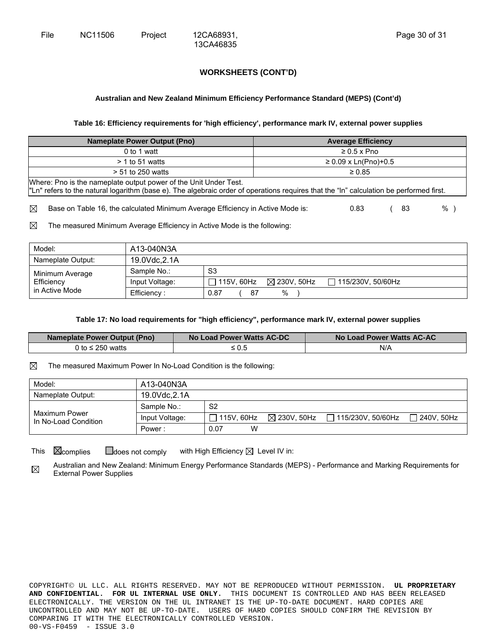13CA46835

#### **Australian and New Zealand Minimum Efficiency Performance Standard (MEPS) (Cont'd)**

#### **Table 16: Efficiency requirements for 'high efficiency', performance mark IV, external power supplies**

| <b>Nameplate Power Output (Pno)</b>                                                                                                                                                                         | <b>Average Efficiency</b> |  |  |  |  |
|-------------------------------------------------------------------------------------------------------------------------------------------------------------------------------------------------------------|---------------------------|--|--|--|--|
| 0 to 1 watt                                                                                                                                                                                                 | $\geq 0.5 \times P$ no    |  |  |  |  |
| $>$ 1 to 51 watts                                                                                                                                                                                           | $≥ 0.09$ x Ln(Pno)+0.5    |  |  |  |  |
| $> 51$ to 250 watts                                                                                                                                                                                         | $\geq 0.85$               |  |  |  |  |
| Where: Pno is the nameplate output power of the Unit Under Test.<br>"Ln" refers to the natural logarithm (base e). The algebraic order of operations requires that the "In" calculation be performed first. |                           |  |  |  |  |
| ⊠<br>Base on Table 16, the calculated Minimum Average Efficiency in Active Mode is:                                                                                                                         | %<br>0.83<br>83           |  |  |  |  |

 $\boxtimes$  The measured Minimum Average Efficiency in Active Mode is the following:

| Model:            | A13-040N3A     |                                      |                          |
|-------------------|----------------|--------------------------------------|--------------------------|
| Nameplate Output: | 19.0Vdc, 2.1A  |                                      |                          |
| Minimum Average   | Sample No.:    | S <sub>3</sub>                       |                          |
| Efficiency        | Input Voltage: | $\boxtimes$ 230V, 50Hz<br>115V, 60Hz | $\Box$ 115/230V, 50/60Hz |
| in Active Mode    | Efficiency:    | %<br>0.87<br>87                      |                          |

#### **Table 17: No load requirements for "high efficiency", performance mark IV, external power supplies**

| <b>Nameplate Power Output (Pno)</b> | No Load Power Watts AC-DC | No Load Power Watts AC-AC |
|-------------------------------------|---------------------------|---------------------------|
| 0 to $\leq$ 250 watts               | $\leq 0.5$                | N/A                       |

 $\boxtimes$  The measured Maximum Power In No-Load Condition is the following:

| Model:                                | A13-040N3A     |                   |                                                       |              |
|---------------------------------------|----------------|-------------------|-------------------------------------------------------|--------------|
| Nameplate Output:                     | 19.0Vdc, 2.1A  |                   |                                                       |              |
| Maximum Power<br>In No-Load Condition | Sample No.:    | S <sub>2</sub>    |                                                       |              |
|                                       | Input Voltage: | $\Box$ 115V. 60Hz | $\boxtimes$ 230V, 50Hz $\quad \Box$ 115/230V, 50/60Hz | l 240V. 50Hz |
|                                       | Power:         | W<br>0.07         |                                                       |              |

This  $\boxtimes$  complies  $\Box$  does not comply with High Efficiency  $\boxtimes$  Level IV in:

Australian and New Zealand: Minimum Energy Performance Standards (MEPS) - Performance and Marking Requirements for  $\boxtimes$ External Power Supplies